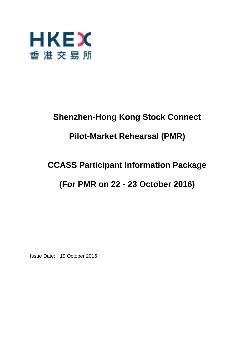

# **Shenzhen-Hong Kong Stock Connect**

# **Pilot-Market Rehearsal (PMR)**

# **CCASS Participant Information Package**

# **(For PMR on 22 - 23 October 2016)**

Issue Date: 19 October 2016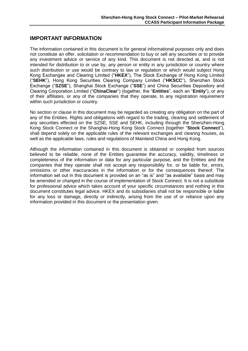# **IMPORTANT INFORMATION**

The information contained in this document is for general informational purposes only and does not constitute an offer, solicitation or recommendation to buy or sell any securities or to provide any investment advice or service of any kind. This document is not directed at, and is not intended for distribution to or use by, any person or entity in any jurisdiction or country where such distribution or use would be contrary to law or regulation or which would subject Hong Kong Exchanges and Clearing Limited ("**HKEX**"), The Stock Exchange of Hong Kong Limited ("**SEHK**"), Hong Kong Securities Clearing Company Limited ("**HKSCC**"), Shenzhen Stock Exchange ("**SZSE**"), Shanghai Stock Exchange ("**SSE**") and China Securities Depository and Clearing Corporation Limited ("**ChinaClear**") (together, the "**Entities**", each an "**Entity**"), or any of their affiliates, or any of the companies that they operate, to any registration requirement within such jurisdiction or country.

No section or clause in this document may be regarded as creating any obligation on the part of any of the Entities. Rights and obligations with regard to the trading, clearing and settlement of any securities effected on the SZSE, SSE and SEHK, including through the Shenzhen-Hong Kong Stock Connect or the Shanghai-Hong Kong Stock Connect (together "**Stock Connect**"), shall depend solely on the applicable rules of the relevant exchanges and clearing houses, as well as the applicable laws, rules and regulations of Mainland China and Hong Kong.

Although the information contained in this document is obtained or compiled from sources believed to be reliable, none of the Entities guarantee the accuracy, validity, timeliness or completeness of the information or data for any particular purpose, and the Entities and the companies that they operate shall not accept any responsibility for, or be liable for, errors, omissions or other inaccuracies in the information or for the consequences thereof. The information set out in this document is provided on an "as is" and "as available" basis and may be amended or changed in the course of implementation of Stock Connect. It is not a substitute for professional advice which takes account of your specific circumstances and nothing in this document constitutes legal advice. HKEX and its subsidiaries shall not be responsible or liable for any loss or damage, directly or indirectly, arising from the use of or reliance upon any information provided in this document or the presentation given.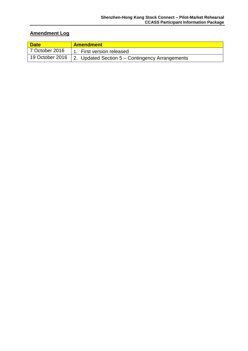# **Amendment Log**

| <b>Date</b>    | <b>Amendment</b>                                                  |
|----------------|-------------------------------------------------------------------|
| 7 October 2016 | 1. First version released                                         |
|                | 19 October 2016   2. Updated Section 5 – Contingency Arrangements |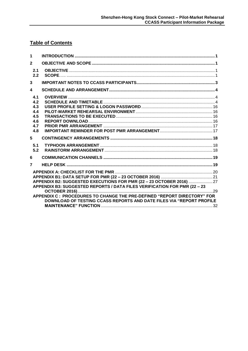# **Table of Contents**

| 1                                      |                                                                                                                                                                                                                                                                                                             |
|----------------------------------------|-------------------------------------------------------------------------------------------------------------------------------------------------------------------------------------------------------------------------------------------------------------------------------------------------------------|
| $\mathbf{2}$                           |                                                                                                                                                                                                                                                                                                             |
| 2.1<br>2.2                             |                                                                                                                                                                                                                                                                                                             |
| 3                                      |                                                                                                                                                                                                                                                                                                             |
| 4                                      |                                                                                                                                                                                                                                                                                                             |
| 4.1<br>4.2<br>4.3<br>4.4<br>4.5<br>4.6 |                                                                                                                                                                                                                                                                                                             |
| 4.7<br>4.8                             |                                                                                                                                                                                                                                                                                                             |
| 5                                      |                                                                                                                                                                                                                                                                                                             |
| 5.1<br>5.2                             |                                                                                                                                                                                                                                                                                                             |
| 6                                      |                                                                                                                                                                                                                                                                                                             |
| $\overline{7}$                         |                                                                                                                                                                                                                                                                                                             |
|                                        | APPENDIX B2: SUGGESTED EXECUTIONS FOR PMR (22 - 23 OCTOBER 2016)  27<br>APPENDIX B3: SUGGESTED REPORTS / DATA FILES VERIFICATION FOR PMR (22 - 23<br>APPENDIX C: PROCEDURES TO CHANGE THE PRE-DEFINED "REPORT DIRECTORY" FOR<br><b>DOWNLOAD OF TESTING CCASS REPORTS AND DATE FILES VIA "REPORT PROFILE</b> |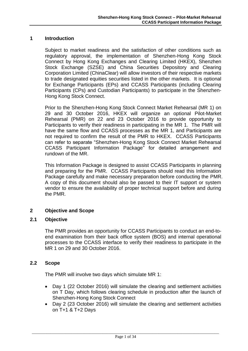### <span id="page-4-0"></span>**1 Introduction**

Subject to market readiness and the satisfaction of other conditions such as regulatory approval, the implementation of Shenzhen-Hong Kong Stock Connect by Hong Kong Exchanges and Clearing Limited (HKEX), Shenzhen Stock Exchange (SZSE) and China Securities Depository and Clearing Corporation Limited (ChinaClear) will allow investors of their respective markets to trade designated equities securities listed in the other markets. It is optional for Exchange Participants (EPs) and CCASS Participants (including Clearing Participants (CPs) and Custodian Participants) to participate in the Shenzhen-Hong Kong Stock Connect.

Prior to the Shenzhen-Hong Kong Stock Connect Market Rehearsal (MR 1) on 29 and 30 October 2016, HKEX will organize an optional Pilot-Market Rehearsal (PMR) on 22 and 23 October 2016 to provide opportunity to Participants to verify their readiness in participating in the MR 1. The PMR will have the same flow and CCASS processes as the MR 1, and Participants are not required to confirm the result of the PMR to HKEX. CCASS Participants can refer to separate "Shenzhen-Hong Kong Stock Connect Market Rehearsal CCASS Participant Information Package" for detailed arrangement and rundown of the MR.

This Information Package is designed to assist CCASS Participants in planning and preparing for the PMR. CCASS Participants should read this Information Package carefully and make necessary preparation before conducting the PMR. A copy of this document should also be passed to their IT support or system vendor to ensure the availability of proper technical support before and during the PMR.

# <span id="page-4-1"></span>**2 Objective and Scope**

### <span id="page-4-2"></span>**2.1 Objective**

The PMR provides an opportunity for CCASS Participants to conduct an end-toend examination from their back office system (BOS) and internal operational processes to the CCASS interface to verify their readiness to participate in the MR 1 on 29 and 30 October 2016.

# <span id="page-4-3"></span>**2.2 Scope**

The PMR will involve two days which simulate MR 1:

- Day 1 (22 October 2016) will simulate the clearing and settlement activities on T Day, which follows clearing schedule in production after the launch of Shenzhen-Hong Kong Stock Connect
- Day 2 (23 October 2016) will simulate the clearing and settlement activities on T+1 & T+2 Days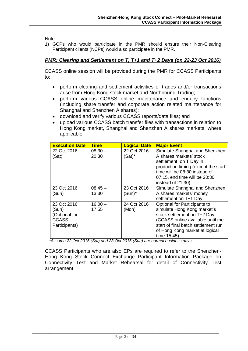Note:

1) GCPs who would participate in the PMR should ensure their Non-Clearing Participant clients (NCPs) would also participate in the PMR.

# *PMR: Clearing and Settlement on T, T+1 and T+2 Days (on 22-23 Oct 2016)*

CCASS online session will be provided during the PMR for CCASS Participants to:

- perform clearing and settlement activities of trades and/or transactions arise from Hong Kong stock market and Northbound Trading;
- perform various CCASS online maintenance and enquiry functions (including share transfer and corporate action related maintenance for Shanghai and Shenzhen A shares);
- download and verify various CCASS reports/data files; and
- upload various CCASS batch transfer files with transactions in relation to Hong Kong market, Shanghai and Shenzhen A shares markets, where applicable.

| <b>Execution Date</b>                                                  | <b>Time</b>        | <b>Logical Date</b>      | <b>Major Event</b>                                                                                                                                                                                                      |
|------------------------------------------------------------------------|--------------------|--------------------------|-------------------------------------------------------------------------------------------------------------------------------------------------------------------------------------------------------------------------|
| 22 Oct 2016<br>(Sat)                                                   | $08:30 -$<br>20:30 | 22 Oct 2016<br>$(Sat)^*$ | Simulate Shanghai and Shenzhen<br>A shares markets' stock<br>settlement on T Day in<br>production timing (except the start<br>time will be 08:30 instead of<br>07:15, end time will be 20:30<br>instead of 21:30)       |
| 23 Oct 2016<br>(Sun)                                                   | $08:45-$<br>13:30  | 23 Oct 2016<br>$(Sun)^*$ | Simulate Shanghai and Shenzhen<br>A shares markets' money<br>settlement on T+1 Day                                                                                                                                      |
| 23 Oct 2016<br>(Sun)<br>(Optional for<br><b>CCASS</b><br>Participants) | $16:00 -$<br>17:55 | 24 Oct 2016<br>(Mon)     | Optional for Participants to<br>simulate Hong Kong market's<br>stock settlement on T+2 Day<br>(CCASS online available until the<br>start of final batch settlement run<br>of Hong Kong market at logical<br>time 15:45) |

*\*Assume 22 Oct 2016 (Sat) and 23 Oct 2016 (Sun) are normal business days.*

CCASS Participants who are also EPs are required to refer to the Shenzhen-Hong Kong Stock Connect Exchange Participant Information Package on Connectivity Test and Market Rehearsal for detail of Connectivity Test arrangement.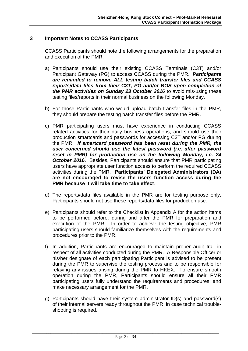# <span id="page-6-0"></span>**3 Important Notes to CCASS Participants**

CCASS Participants should note the following arrangements for the preparation and execution of the PMR:

- a) Participants should use their existing CCASS Terminals (C3T) and/or Participant Gateway (PG) to access CCASS during the PMR. *Participants are reminded to remove ALL testing batch transfer files and CCASS reports/data files from their C3T, PG and/or BOS upon completion of the PMR activities on Sunday 23 October 2016* to avoid mis-using these testing files/reports in their normal business on the following Monday.
- b) For those Participants who would upload batch transfer files in the PMR, they should prepare the testing batch transfer files before the PMR.
- c) PMR participating users must have experience in conducting CCASS related activities for their daily business operations, and should use their production smartcards and passwords for accessing C3T and/or PG during the PMR. *If smartcard password has been reset during the PMR, the user concerned should use the latest password (i.e. after password reset in PMR) for production use on the following Monday, i.e. 24 October 2016.* Besides, Participants should ensure that PMR participating users have appropriate user function access to perform the required CCASS activities during the PMR. **Participants' Delegated Administrators (DA) are not encouraged to revise the users function access during the PMR because it will take time to take effect**.
- d) The reports/data files available in the PMR are for testing purpose only. Participants should not use these reports/data files for production use.
- e) Participants should refer to the Checklist in Appendix A for the action items to be performed before, during and after the PMR for preparation and execution of the PMR. In order to achieve the testing objective, PMR participating users should familiarize themselves with the requirements and procedures prior to the PMR.
- f) In addition, Participants are encouraged to maintain proper audit trail in respect of all activities conducted during the PMR. A Responsible Officer or his/her designate of each participating Participant is advised to be present during the PMR to supervise the testing process and to be responsible for relaying any issues arising during the PMR to HKEX. To ensure smooth operation during the PMR, Participants should ensure all their PMR participating users fully understand the requirements and procedures; and make necessary arrangement for the PMR.
- g) Participants should have their system administrator ID(s) and password(s) of their internal servers ready throughout the PMR, in case technical troubleshooting is required.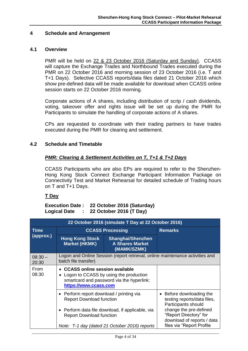## <span id="page-7-0"></span>**4 Schedule and Arrangement**

### <span id="page-7-1"></span>**4.1 Overview**

PMR will be held on 22 & 23 October 2016 (Saturday and Sunday). CCASS will capture the Exchange Trades and Northbound Trades executed during the PMR on 22 October 2016 and morning session of 23 October 2016 (i.e. T and T+1 Days). Selective CCASS reports/data files dated 21 October 2016 which show pre-defined data will be made available for download when CCASS online session starts on 22 October 2016 morning.

Corporate actions of A shares, including distribution of scrip / cash dividends, voting, takeover offer and rights issue will be set up during the PMR for Participants to simulate the handling of corporate actions of A shares.

CPs are requested to coordinate with their trading partners to have trades executed during the PMR for clearing and settlement.

# <span id="page-7-2"></span>**4.2 Schedule and Timetable**

# *PMR: Clearing & Settlement Activities on T, T+1 & T+2 Days*

CCASS Participants who are also EPs are required to refer to the Shenzhen-Hong Kong Stock Connect Exchange Participant Information Package on Connectivity Test and Market Rehearsal for detailed schedule of Trading hours on T and T+1 Days.

# **T Day**

**Execution Date : 22 October 2016 (Saturday) Logical Date : 22 October 2016 (T Day)**

|                    | 22 October 2016 (simulate T Day at 22 October 2016)                                                                                                                |                                                                   |                                                                                                                                               |  |  |
|--------------------|--------------------------------------------------------------------------------------------------------------------------------------------------------------------|-------------------------------------------------------------------|-----------------------------------------------------------------------------------------------------------------------------------------------|--|--|
| <b>Time</b>        |                                                                                                                                                                    | <b>CCASS Processing</b>                                           | <b>Remarks</b>                                                                                                                                |  |  |
| (approx.)          | <b>Hong Kong Stock</b><br><b>Market (HKMK)</b>                                                                                                                     | <b>Shanghai/Shenzhen</b><br><b>A Shares Market</b><br>(MAMK/SZMK) |                                                                                                                                               |  |  |
| $08:30 -$<br>20:30 | Logon and Online Session (report retrieval, online maintenance activities and<br>batch file transfer)                                                              |                                                                   |                                                                                                                                               |  |  |
| From<br>08:30      | • CCASS online session available<br>Logon to CCASS by using the production<br>smartcard and password via the hyperlink:<br>https://www.ccass.com                   |                                                                   |                                                                                                                                               |  |  |
|                    | • Perform report download / printing via<br><b>Report Download function</b><br>• Perform data file download, if applicable, via<br><b>Report Download function</b> |                                                                   | Before downloading the<br>$\bullet$<br>testing reports/data files,<br>Participants should<br>change the pre-defined<br>"Report Directory" for |  |  |
|                    |                                                                                                                                                                    | Note: T-1 day (dated 21 October 2016) reports                     | download of reports / data<br>files via "Report Profile                                                                                       |  |  |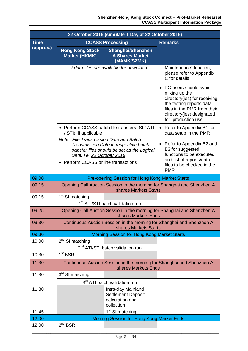| 22 October 2016 (simulate T Day at 22 October 2016) |                                                                                                             |                                                                                      |                                                                                                                                                                                      |
|-----------------------------------------------------|-------------------------------------------------------------------------------------------------------------|--------------------------------------------------------------------------------------|--------------------------------------------------------------------------------------------------------------------------------------------------------------------------------------|
| <b>Time</b>                                         |                                                                                                             | <b>CCASS Processing</b>                                                              | <b>Remarks</b>                                                                                                                                                                       |
| (approx.)                                           | <b>Hong Kong Stock</b><br><b>Market (HKMK)</b>                                                              | <b>Shanghai/Shenzhen</b><br><b>A Shares Market</b><br>(MAMK/SZMK)                    |                                                                                                                                                                                      |
|                                                     |                                                                                                             | / data files are available for download                                              | Maintenance" function,<br>please refer to Appendix<br>C for details                                                                                                                  |
|                                                     |                                                                                                             |                                                                                      | PG users should avoid<br>mixing up the<br>directory(ies) for receiving<br>the testing reports/data<br>files in the PMR from their<br>directory(ies) designated<br>for production use |
|                                                     | / STI), if applicable                                                                                       | • Perform CCASS batch file transfers (SI / ATI                                       | Refer to Appendix B1 for<br>data setup in the PMR                                                                                                                                    |
|                                                     | Note: File Transmission Date and Batch<br>Date, i.e. 22 October 2016<br>• Perform CCASS online transactions | Transmission Date in respective batch<br>transfer files should be set as the Logical | Refer to Appendix B2 and<br>B3 for suggested<br>functions to be executed,<br>and list of reports/data<br>files to be checked in the                                                  |
|                                                     |                                                                                                             |                                                                                      | <b>PMR</b>                                                                                                                                                                           |
| 09:00                                               |                                                                                                             | Pre-opening Session for Hong Kong Market Starts                                      |                                                                                                                                                                                      |
| 09:15                                               |                                                                                                             | shares Markets Starts                                                                | Opening Call Auction Session in the morning for Shanghai and Shenzhen A                                                                                                              |
| 09:15                                               | 1 <sup>st</sup> SI matching                                                                                 |                                                                                      |                                                                                                                                                                                      |
|                                                     | 1 <sup>st</sup> ATI/STI batch validation run                                                                |                                                                                      |                                                                                                                                                                                      |
| 09:25                                               |                                                                                                             | shares Markets Ends                                                                  | Opening Call Auction Session in the morning for Shanghai and Shenzhen A                                                                                                              |
| 09:30                                               |                                                                                                             | shares Markets Starts                                                                | Continuous Auction Session in the morning for Shanghai and Shenzhen A                                                                                                                |
| 09:30                                               |                                                                                                             | <b>Morning Session for Hong Kong Market Starts</b>                                   |                                                                                                                                                                                      |
| 10:00                                               | $2nd$ SI matching                                                                                           |                                                                                      |                                                                                                                                                                                      |
|                                                     |                                                                                                             | 2 <sup>nd</sup> ATI/STI batch validation run                                         |                                                                                                                                                                                      |
| 10:30                                               | 1 <sup>st</sup> BSR                                                                                         |                                                                                      |                                                                                                                                                                                      |
| 11:30                                               |                                                                                                             | shares Markets Ends                                                                  | Continuous Auction Session in the morning for Shanghai and Shenzhen A                                                                                                                |
| 11:30                                               | 3 <sup>rd</sup> SI matching                                                                                 |                                                                                      |                                                                                                                                                                                      |
|                                                     |                                                                                                             | 3 <sup>rd</sup> ATI batch validation run                                             |                                                                                                                                                                                      |
| 11:30                                               |                                                                                                             | Intra-day Mainland<br><b>Settlement Deposit</b><br>calculation and<br>collection     |                                                                                                                                                                                      |
| 11:45                                               |                                                                                                             | 1 <sup>st</sup> SI matching                                                          |                                                                                                                                                                                      |
| 12:00                                               |                                                                                                             | Morning Session for Hong Kong Market Ends                                            |                                                                                                                                                                                      |
| 12:00                                               | $2^{nd}$ BSR                                                                                                |                                                                                      |                                                                                                                                                                                      |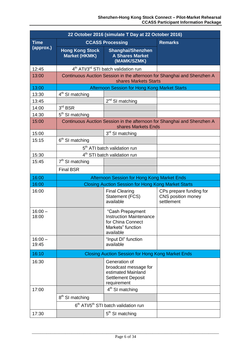| 22 October 2016 (simulate T Day at 22 October 2016) |                                                          |                                                                                                           |                                                                         |
|-----------------------------------------------------|----------------------------------------------------------|-----------------------------------------------------------------------------------------------------------|-------------------------------------------------------------------------|
| <b>Time</b>                                         |                                                          | <b>CCASS Processing</b>                                                                                   | <b>Remarks</b>                                                          |
| (approx.)                                           | <b>Hong Kong Stock</b><br><b>Market (HKMK)</b>           | <b>Shanghai/Shenzhen</b><br><b>A Shares Market</b><br>(MAMK/SZMK)                                         |                                                                         |
| 12:45                                               |                                                          | 4 <sup>th</sup> ATI/3 <sup>rd</sup> STI batch validation run                                              |                                                                         |
| 13:00                                               |                                                          | shares Markets Starts                                                                                     | Continuous Auction Session in the afternoon for Shanghai and Shenzhen A |
| 13:00                                               |                                                          | Afternoon Session for Hong Kong Market Starts                                                             |                                                                         |
| 13:30                                               | $4th$ SI matching                                        |                                                                                                           |                                                                         |
| 13:45                                               |                                                          | 2 <sup>nd</sup> SI matching                                                                               |                                                                         |
| 14:00                                               | 3 <sup>rd</sup> BSR                                      |                                                                                                           |                                                                         |
| 14:30                                               | 5 <sup>th</sup> SI matching                              |                                                                                                           |                                                                         |
| 15:00                                               |                                                          | shares Markets Ends                                                                                       | Continuous Auction Session in the afternoon for Shanghai and Shenzhen A |
| 15:00                                               |                                                          | 3 <sup>rd</sup> SI matching                                                                               |                                                                         |
| 15:15                                               | 6 <sup>th</sup> SI matching                              |                                                                                                           |                                                                         |
|                                                     |                                                          | 5 <sup>th</sup> ATI batch validation run                                                                  |                                                                         |
| 15:30                                               |                                                          | 4 <sup>th</sup> STI batch validation run                                                                  |                                                                         |
| 15:45                                               | $7th$ SI matching                                        |                                                                                                           |                                                                         |
|                                                     | <b>Final BSR</b>                                         |                                                                                                           |                                                                         |
| 16:00                                               |                                                          | Afternoon Session for Hong Kong Market Ends                                                               |                                                                         |
| 16:00                                               |                                                          | <b>Closing Auction Session for Hong Kong Market Starts</b>                                                |                                                                         |
| 16:00                                               |                                                          | <b>Final Clearing</b><br><b>Statement (FCS)</b><br>available                                              | CPs prepare funding for<br>CNS position money<br>settlement             |
| $16:00 -$<br>18:00                                  |                                                          | "Cash Prepayment<br><b>Instruction Maintenance</b><br>for China Connect<br>Markets" function<br>available |                                                                         |
| $16:00 -$<br>19:45                                  |                                                          | "Input DI" function<br>available                                                                          |                                                                         |
| 16:10                                               | <b>Closing Auction Session for Hong Kong Market Ends</b> |                                                                                                           |                                                                         |
| 16:30                                               |                                                          | Generation of<br>broadcast message for<br>estimated Mainland<br><b>Settlement Deposit</b><br>requirement  |                                                                         |
| 17:00                                               |                                                          | 4 <sup>th</sup> SI matching                                                                               |                                                                         |
|                                                     | 8 <sup>th</sup> SI matching                              |                                                                                                           |                                                                         |
|                                                     |                                                          | 6 <sup>th</sup> ATI/5 <sup>th</sup> STI batch validation run                                              |                                                                         |
| 17:30                                               |                                                          | 5 <sup>th</sup> SI matching                                                                               |                                                                         |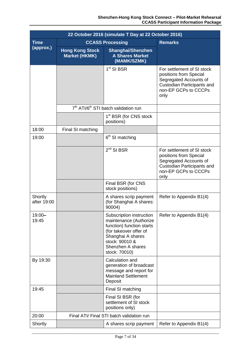| 22 October 2016 (simulate T Day at 22 October 2016) |                                                |                                                                                                                                                                                        |                                                                                                                                              |
|-----------------------------------------------------|------------------------------------------------|----------------------------------------------------------------------------------------------------------------------------------------------------------------------------------------|----------------------------------------------------------------------------------------------------------------------------------------------|
| <b>Time</b>                                         |                                                | <b>CCASS Processing</b><br><b>Remarks</b>                                                                                                                                              |                                                                                                                                              |
| (approx.)                                           | <b>Hong Kong Stock</b><br><b>Market (HKMK)</b> | <b>Shanghai/Shenzhen</b><br><b>A Shares Market</b><br>(MAMK/SZMK)                                                                                                                      |                                                                                                                                              |
|                                                     |                                                | $1st$ SI BSR                                                                                                                                                                           | For settlement of SI stock<br>positions from Special<br>Segregated Accounts of<br>Custodian Participants and<br>non-EP GCPs to CCCPs<br>only |
|                                                     |                                                | 7 <sup>th</sup> ATI/6 <sup>th</sup> STI batch validation run                                                                                                                           |                                                                                                                                              |
|                                                     |                                                | 1 <sup>st</sup> BSR (for CNS stock<br>positions)                                                                                                                                       |                                                                                                                                              |
| 18:00                                               | Final SI matching                              |                                                                                                                                                                                        |                                                                                                                                              |
| 19:00                                               |                                                | 6 <sup>th</sup> SI matching                                                                                                                                                            |                                                                                                                                              |
|                                                     |                                                | $2^{nd}$ SI BSR                                                                                                                                                                        | For settlement of SI stock<br>positions from Special<br>Segregated Accounts of<br>Custodian Participants and<br>non-EP GCPs to CCCPs<br>only |
|                                                     |                                                | Final BSR (for CNS<br>stock positions)                                                                                                                                                 |                                                                                                                                              |
| Shortly<br>after 19:00                              |                                                | A shares scrip payment<br>(for Shanghai A shares:<br>90004)                                                                                                                            | Refer to Appendix B1(4)                                                                                                                      |
| $19:00 -$<br>19:45                                  |                                                | Subscription instruction<br>maintenance (Authorize<br>function) function starts<br>(for takeover offer of<br>Shanghai A shares<br>stock: 90010 &<br>Shenzhen A shares<br>stock: 70010) | Refer to Appendix B1(4)                                                                                                                      |
| By 19:30                                            |                                                | Calculation and<br>generation of broadcast<br>message and report for<br><b>Mainland Settlement</b><br>Deposit                                                                          |                                                                                                                                              |
| 19:45                                               |                                                | Final SI matching                                                                                                                                                                      |                                                                                                                                              |
|                                                     |                                                | Final SI BSR (for<br>settlement of SI stock<br>positions only)                                                                                                                         |                                                                                                                                              |
| 20:00                                               |                                                | Final ATI/ Final STI batch validation run                                                                                                                                              |                                                                                                                                              |
| Shortly                                             |                                                | A shares scrip payment                                                                                                                                                                 | Refer to Appendix B1(4)                                                                                                                      |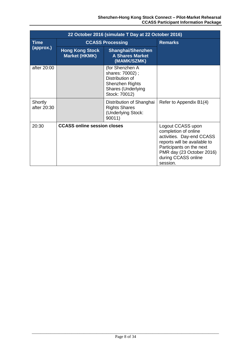|                          | 22 October 2016 (simulate T Day at 22 October 2016) |                                                                                                                        |                                                                                                                                                                                                    |  |
|--------------------------|-----------------------------------------------------|------------------------------------------------------------------------------------------------------------------------|----------------------------------------------------------------------------------------------------------------------------------------------------------------------------------------------------|--|
| <b>Time</b><br>(approx.) | <b>CCASS Processing</b>                             |                                                                                                                        | <b>Remarks</b>                                                                                                                                                                                     |  |
|                          | <b>Hong Kong Stock</b><br><b>Market (HKMK)</b>      | <b>Shanghai/Shenzhen</b><br><b>A Shares Market</b><br>(MAMK/SZMK)                                                      |                                                                                                                                                                                                    |  |
| after 20:00              |                                                     | (for Shenzhen A<br>shares: 70002);<br>Distribution of<br>Shenzhen Rights<br><b>Shares (Underlying</b><br>Stock: 70012) |                                                                                                                                                                                                    |  |
| Shortly<br>after 20:30   |                                                     | Distribution of Shanghai<br><b>Rights Shares</b><br>(Underlying Stock:<br>90011)                                       | Refer to Appendix B1(4)                                                                                                                                                                            |  |
| 20:30                    | <b>CCASS online session closes</b>                  |                                                                                                                        | Logout CCASS upon<br>completion of online<br>activities. Day-end CCASS<br>reports will be available to<br>Participants on the next<br>PMR day (23 October 2016)<br>during CCASS online<br>session. |  |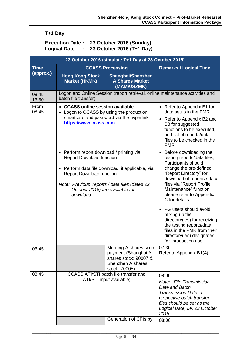# **T+1 Day**

## **Execution Date : 23 October 2016 (Sunday) Logical Date : 23 October 2016 (T+1 Day)**

| 23 October 2016 (simulate T+1 Day at 23 October 2016) |                                                                                                                                                                                                                                                                    |                                                                                                              |                                                                                                                                                                                                                                                                                 |  |
|-------------------------------------------------------|--------------------------------------------------------------------------------------------------------------------------------------------------------------------------------------------------------------------------------------------------------------------|--------------------------------------------------------------------------------------------------------------|---------------------------------------------------------------------------------------------------------------------------------------------------------------------------------------------------------------------------------------------------------------------------------|--|
| <b>Time</b>                                           |                                                                                                                                                                                                                                                                    | <b>CCASS Processing</b>                                                                                      | <b>Remarks / Logical Time</b>                                                                                                                                                                                                                                                   |  |
| (approx.)                                             | <b>Hong Kong Stock</b><br><b>Market (HKMK)</b>                                                                                                                                                                                                                     | <b>Shanghai/Shenzhen</b><br><b>A Shares Market</b><br>(MAMK/SZMK)                                            |                                                                                                                                                                                                                                                                                 |  |
| $08:45-$<br>13:30                                     | batch file transfer)                                                                                                                                                                                                                                               |                                                                                                              | Logon and Online Session (report retrieval, online maintenance activities and                                                                                                                                                                                                   |  |
| From<br>08:45                                         | • CCASS online session available<br>Logon to CCASS by using the production<br>smartcard and password via the hyperlink:<br>https://www.ccass.com                                                                                                                   |                                                                                                              | • Refer to Appendix B1 for<br>data setup in the PMR<br>• Refer to Appendix B2 and<br>B3 for suggested<br>functions to be executed,<br>and list of reports/data<br>files to be checked in the<br><b>PMR</b>                                                                      |  |
|                                                       | • Perform report download / printing via<br><b>Report Download function</b><br>• Perform data file download, if applicable, via<br><b>Report Download function</b><br>Note: Previous reports / data files (dated 22<br>October 2016) are available for<br>download |                                                                                                              | Before downloading the<br>$\bullet$<br>testing reports/data files,<br>Participants should<br>change the pre-defined<br>"Report Directory" for<br>download of reports / data<br>files via "Report Profile<br>Maintenance" function,<br>please refer to Appendix<br>C for details |  |
|                                                       |                                                                                                                                                                                                                                                                    |                                                                                                              | PG users should avoid<br>mixing up the<br>directory(ies) for receiving<br>the testing reports/data<br>files in the PMR from their<br>directory(ies) designated<br>for production use                                                                                            |  |
| 08:45                                                 |                                                                                                                                                                                                                                                                    | Morning A shares scrip<br>payment (Shanghai A<br>shares stock: 90007 &<br>Shenzhen A shares<br>stock: 70005) | 07:30<br>Refer to Appendix B1(4)                                                                                                                                                                                                                                                |  |
| 08:45                                                 |                                                                                                                                                                                                                                                                    | CCASS ATI/STI batch file transfer and<br>ATI/STI input available;<br>Generation of CPIs by                   | 08:00<br>Note: File Transmission<br>Date and Batch<br><b>Transmission Date in</b><br>respective batch transfer<br>files should be set as the<br>Logical Date, i.e. 23 October<br>2016                                                                                           |  |
|                                                       |                                                                                                                                                                                                                                                                    |                                                                                                              | 08:00                                                                                                                                                                                                                                                                           |  |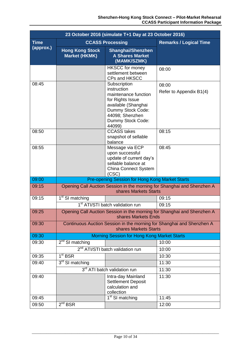|             | 23 October 2016 (simulate T+1 Day at 23 October 2016) |                                                                                                                                                                       |                                                                         |  |
|-------------|-------------------------------------------------------|-----------------------------------------------------------------------------------------------------------------------------------------------------------------------|-------------------------------------------------------------------------|--|
| <b>Time</b> |                                                       | <b>CCASS Processing</b>                                                                                                                                               | <b>Remarks / Logical Time</b>                                           |  |
| (approx.)   | <b>Hong Kong Stock</b><br><b>Market (HKMK)</b>        | <b>Shanghai/Shenzhen</b><br><b>A Shares Market</b><br>(MAMK/SZMK)                                                                                                     |                                                                         |  |
|             |                                                       | <b>HKSCC</b> for money<br>settlement between<br><b>CPs and HKSCC</b>                                                                                                  | 08:00                                                                   |  |
| 08:45       |                                                       | Subscription<br>instruction<br>maintenance function<br>for Rights Issue<br>available (Shanghai<br>Dummy Stock Code:<br>44098; Shenzhen<br>Dummy Stock Code:<br>44099) | 08:00<br>Refer to Appendix B1(4)                                        |  |
| 08:50       |                                                       | <b>CCASS takes</b><br>snapshot of sellable<br>balance                                                                                                                 | 08:15                                                                   |  |
| 08:55       |                                                       | Message via ECP<br>upon successful<br>update of current day's<br>sellable balance at<br><b>China Connect System</b><br>(CSC)                                          | 08:45                                                                   |  |
| 09:00       |                                                       | Pre-opening Session for Hong Kong Market Starts                                                                                                                       |                                                                         |  |
| 09:15       |                                                       | shares Markets Starts                                                                                                                                                 | Opening Call Auction Session in the morning for Shanghai and Shenzhen A |  |
| 09:15       | 1 <sup>st</sup> SI matching                           |                                                                                                                                                                       | 09:15                                                                   |  |
|             |                                                       | 1 <sup>st</sup> ATI/STI batch validation run                                                                                                                          | 09:15                                                                   |  |
| 09:25       |                                                       | shares Markets Ends                                                                                                                                                   | Opening Call Auction Session in the morning for Shanghai and Shenzhen A |  |
| 09:30       |                                                       | shares Markets Starts                                                                                                                                                 | Continuous Auction Session in the morning for Shanghai and Shenzhen A   |  |
| 09:30       |                                                       | <b>Morning Session for Hong Kong Market Starts</b>                                                                                                                    |                                                                         |  |
| 09:30       | $2nd$ SI matching                                     |                                                                                                                                                                       | 10:00                                                                   |  |
|             |                                                       | 2 <sup>nd</sup> ATI/STI batch validation run                                                                                                                          | 10:00                                                                   |  |
| 09:35       | 1 <sup>st</sup> BSR                                   |                                                                                                                                                                       | 10:30                                                                   |  |
| 09:40       | 3rd SI matching                                       |                                                                                                                                                                       | 11:30                                                                   |  |
|             | 3rd ATI batch validation run<br>11:30                 |                                                                                                                                                                       |                                                                         |  |
| 09:40       |                                                       | Intra-day Mainland<br><b>Settlement Deposit</b><br>calculation and<br>collection                                                                                      | 11:30                                                                   |  |
| 09:45       |                                                       | $1st$ SI matching                                                                                                                                                     | 11:45                                                                   |  |
| 09:50       | $2^{nd}$ BSR                                          |                                                                                                                                                                       | 12:00                                                                   |  |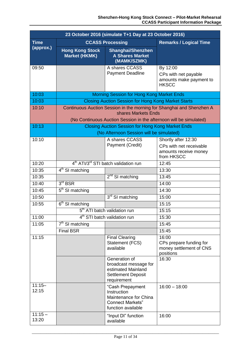| 23 October 2016 (simulate T+1 Day at 23 October 2016) |                                                |                                                                                                           |                                                                                       |
|-------------------------------------------------------|------------------------------------------------|-----------------------------------------------------------------------------------------------------------|---------------------------------------------------------------------------------------|
| <b>Time</b>                                           |                                                | <b>CCASS Processing</b>                                                                                   | <b>Remarks / Logical Time</b>                                                         |
| (approx.)                                             | <b>Hong Kong Stock</b><br><b>Market (HKMK)</b> | <b>Shanghai/Shenzhen</b><br><b>A Shares Market</b><br>(MAMK/SZMK)                                         |                                                                                       |
| 09:50                                                 |                                                | A shares CCASS<br><b>Payment Deadline</b>                                                                 | By 12:00<br>CPs with net payable<br>amounts make payment to<br><b>HKSCC</b>           |
| 10:03                                                 |                                                | <b>Morning Session for Hong Kong Market Ends</b>                                                          |                                                                                       |
| 10:03                                                 |                                                | <b>Closing Auction Session for Hong Kong Market Starts</b>                                                |                                                                                       |
| 10:10                                                 |                                                | shares Markets Ends<br>(No Continuous Auction Session in the afternoon will be simulated)                 | Continuous Auction Session in the morning for Shanghai and Shenzhen A                 |
| 10:13                                                 |                                                | <b>Closing Auction Session for Hong Kong Market Ends</b>                                                  |                                                                                       |
|                                                       |                                                | (No Afternoon Session will be simulated)                                                                  |                                                                                       |
| 10:10                                                 |                                                | A shares CCASS<br>Payment (Credit)                                                                        | Shortly after 12:30<br>CPs with net receivable<br>amounts receive money<br>from HKSCC |
| 10:20                                                 |                                                | 4 <sup>th</sup> ATI/3 <sup>rd</sup> STI batch validation run                                              | 12:45                                                                                 |
| 10:35                                                 | $4th$ SI matching                              |                                                                                                           | 13:30                                                                                 |
| 10:35                                                 |                                                | $2nd$ SI matching                                                                                         | 13:45                                                                                 |
| 10:40                                                 | 3 <sup>rd</sup> BSR                            |                                                                                                           | 14:00                                                                                 |
| 10:45                                                 | $5th$ SI matching                              |                                                                                                           | 14:30                                                                                 |
| 10:50                                                 |                                                | 3rd SI matching                                                                                           | 15:00                                                                                 |
| 10:55                                                 | 6 <sup>th</sup> SI matching                    |                                                                                                           | 15:15                                                                                 |
|                                                       |                                                | 5 <sup>th</sup> ATI batch validation run                                                                  | 15:15                                                                                 |
| 11:00                                                 |                                                | 4 <sup>th</sup> STI batch validation run                                                                  | 15:30                                                                                 |
| 11:05                                                 | $7th$ SI matching                              |                                                                                                           | 15:45                                                                                 |
|                                                       | <b>Final BSR</b>                               |                                                                                                           | 15:45                                                                                 |
| 11:15                                                 |                                                | <b>Final Clearing</b><br>Statement (FCS)<br>available                                                     | 16:00<br>CPs prepare funding for<br>money settlement of CNS<br>positions              |
|                                                       |                                                | Generation of<br>broadcast message for<br>estimated Mainland<br><b>Settlement Deposit</b><br>requirement  | 16:30                                                                                 |
| $11:15 -$<br>12:15                                    |                                                | "Cash Prepayment<br>Instruction<br>Maintenance for China<br><b>Connect Markets"</b><br>function available | $16:00 - 18:00$                                                                       |
| $11:15 -$<br>13:20                                    |                                                | "Input DI" function<br>available                                                                          | 16:00                                                                                 |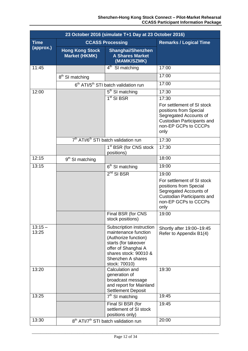| 23 October 2016 (simulate T+1 Day at 23 October 2016) |                                                |                                                                                                                                                                                        |                                                                                                                                                              |  |
|-------------------------------------------------------|------------------------------------------------|----------------------------------------------------------------------------------------------------------------------------------------------------------------------------------------|--------------------------------------------------------------------------------------------------------------------------------------------------------------|--|
| <b>Time</b>                                           | <b>CCASS Processing</b>                        | <b>Remarks / Logical Time</b>                                                                                                                                                          |                                                                                                                                                              |  |
| (approx.)                                             | <b>Hong Kong Stock</b><br><b>Market (HKMK)</b> | <b>Shanghai/Shenzhen</b><br><b>A Shares Market</b><br>(MAMK/SZMK)                                                                                                                      |                                                                                                                                                              |  |
| 11:45                                                 |                                                | $4th$ SI matching                                                                                                                                                                      | 17:00                                                                                                                                                        |  |
|                                                       | 8 <sup>th</sup> SI matching                    |                                                                                                                                                                                        | 17:00                                                                                                                                                        |  |
|                                                       |                                                | 6 <sup>th</sup> ATI/5 <sup>th</sup> STI batch validation run                                                                                                                           | 17:00                                                                                                                                                        |  |
| 12:00                                                 |                                                | 5 <sup>th</sup> SI matching                                                                                                                                                            | 17:30                                                                                                                                                        |  |
|                                                       |                                                | $1st$ SI BSR                                                                                                                                                                           | 17:30<br>For settlement of SI stock<br>positions from Special<br>Segregated Accounts of<br><b>Custodian Participants and</b><br>non-EP GCPs to CCCPs<br>only |  |
|                                                       |                                                | 7 <sup>th</sup> ATI/6 <sup>th</sup> STI batch validation run                                                                                                                           | 17:30                                                                                                                                                        |  |
|                                                       |                                                | 1 <sup>st</sup> BSR (for CNS stock<br>positions)                                                                                                                                       | 17:30                                                                                                                                                        |  |
| 12:15                                                 | 9 <sup>th</sup> SI matching                    |                                                                                                                                                                                        | 18:00                                                                                                                                                        |  |
| 13:15                                                 |                                                | 6 <sup>th</sup> SI matching                                                                                                                                                            | 19:00                                                                                                                                                        |  |
|                                                       |                                                | $2nd$ SI BSR                                                                                                                                                                           | 19:00<br>For settlement of SI stock<br>positions from Special<br>Segregated Accounts of<br><b>Custodian Participants and</b><br>non-EP GCPs to CCCPs<br>only |  |
|                                                       |                                                | Final BSR (for CNS<br>stock positions)                                                                                                                                                 | 19:00                                                                                                                                                        |  |
| $13:15 -$<br>13:25                                    |                                                | Subscription instruction<br>maintenance function<br>(Authorize function)<br>starts (for takeover<br>offer of Shanghai A<br>shares stock: 90010 &<br>Shenzhen A shares<br>stock: 70010) | Shortly after 19:00-19:45<br>Refer to Appendix B1(4)                                                                                                         |  |
| 13:20                                                 |                                                | Calculation and<br>generation of<br>broadcast message<br>and report for Mainland<br><b>Settlement Deposit</b>                                                                          | 19:30                                                                                                                                                        |  |
| 13:25                                                 |                                                | $7th$ SI matching                                                                                                                                                                      | 19:45                                                                                                                                                        |  |
| 13:30                                                 |                                                | Final SI BSR (for<br>settlement of SI stock<br>positions only)                                                                                                                         | 19:45                                                                                                                                                        |  |
|                                                       |                                                | 8 <sup>th</sup> ATI/7 <sup>th</sup> STI batch validation run                                                                                                                           | 20:00                                                                                                                                                        |  |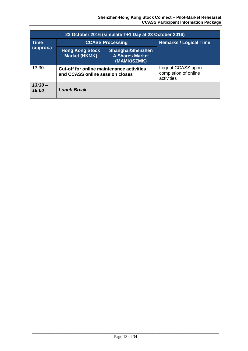|                          | 23 October 2016 (simulate T+1 Day at 23 October 2016) |                                                                                     |  |  |  |  |  |  |  |  |  |  |
|--------------------------|-------------------------------------------------------|-------------------------------------------------------------------------------------|--|--|--|--|--|--|--|--|--|--|
| <b>Time</b><br>(approx.) | <b>CCASS Processing</b>                               | <b>Remarks / Logical Time</b>                                                       |  |  |  |  |  |  |  |  |  |  |
|                          | <b>Hong Kong Stock</b><br><b>Market (HKMK)</b>        | <b>Shanghai/Shenzhen</b><br><b>A Shares Market</b><br>(MAMK/SZMK)                   |  |  |  |  |  |  |  |  |  |  |
| 13:30                    |                                                       | <b>Cut-off for online maintenance activities</b><br>and CCASS online session closes |  |  |  |  |  |  |  |  |  |  |
| $13:30-$<br>16:00        | <b>Lunch Break</b>                                    |                                                                                     |  |  |  |  |  |  |  |  |  |  |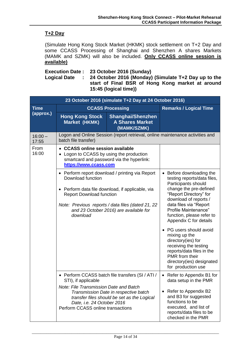# **T+2 Day**

(Simulate Hong Kong Stock Market (HKMK) stock settlement on T+2 Day and some CCASS Processing of Shanghai and Shenzhen A shares Markets (MAMK and SZMK) will also be included. **Only CCASS online session is available)**

**Execution Date : 23 October 2016 (Sunday)**

**Logical Date : 24 October 2016 (Monday) (Simulate T+2 Day up to the start of Final BSR of Hong Kong market at around 15:45 (logical time))**

|                    |                                                                                                                                                                                                          | 23 October 2016 (simulate T+2 Day at 24 October 2016)                                                                                                                                            |                                                                                                                                                                                                                                                                                                                                    |
|--------------------|----------------------------------------------------------------------------------------------------------------------------------------------------------------------------------------------------------|--------------------------------------------------------------------------------------------------------------------------------------------------------------------------------------------------|------------------------------------------------------------------------------------------------------------------------------------------------------------------------------------------------------------------------------------------------------------------------------------------------------------------------------------|
| <b>Time</b>        |                                                                                                                                                                                                          | <b>CCASS Processing</b>                                                                                                                                                                          | <b>Remarks / Logical Time</b>                                                                                                                                                                                                                                                                                                      |
| (approx.)          | <b>Hong Kong Stock</b><br>Market (HKMK)                                                                                                                                                                  |                                                                                                                                                                                                  |                                                                                                                                                                                                                                                                                                                                    |
| $16:00 -$<br>17:55 | batch file transfer)                                                                                                                                                                                     |                                                                                                                                                                                                  | Logon and Online Session (report retrieval, online maintenance activities and                                                                                                                                                                                                                                                      |
| From<br>16:00      | <b>CCASS online session available</b><br>Logon to CCASS by using the production<br>smartcard and password via the hyperlink:<br>https://www.ccass.com                                                    |                                                                                                                                                                                                  |                                                                                                                                                                                                                                                                                                                                    |
|                    | Download function<br>$\bullet$<br><b>Report Download function</b><br>download                                                                                                                            | • Perform report download / printing via Report<br>Perform data file download, if applicable, via<br>Note: Previous reports / data files (dated 21, 22<br>and 23 October 2016) are available for | Before downloading the<br>testing reports/data files,<br>Participants should<br>change the pre-defined<br>"Report Directory" for<br>download of reports /<br>data files via "Report<br>Profile Maintenance"<br>function, please refer to<br>Appendix C for details<br>PG users should avoid<br>mixing up the<br>directory(ies) for |
|                    |                                                                                                                                                                                                          |                                                                                                                                                                                                  | receiving the testing<br>reports/data files in the<br>PMR from their<br>directory(ies) designated<br>for production use                                                                                                                                                                                                            |
|                    | STI), if applicable                                                                                                                                                                                      | • Perform CCASS batch file transfers (SI / ATI /                                                                                                                                                 | Refer to Appendix B1 for<br>$\bullet$<br>data setup in the PMR                                                                                                                                                                                                                                                                     |
|                    | <b>Note: File Transmission Date and Batch</b><br>Transmission Date in respective batch<br>transfer files should be set as the Logical<br>Date, i.e. 24 October 2016<br>Perform CCASS online transactions | Refer to Appendix B2<br>and B3 for suggested<br>functions to be<br>executed, and list of<br>reports/data files to be<br>checked in the PMR                                                       |                                                                                                                                                                                                                                                                                                                                    |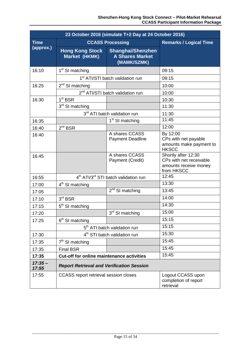|                   |                                                  | 23 October 2016 (simulate T+2 Day at 24 October 2016)             |                                                                                       |
|-------------------|--------------------------------------------------|-------------------------------------------------------------------|---------------------------------------------------------------------------------------|
| <b>Time</b>       |                                                  | <b>CCASS Processing</b>                                           | <b>Remarks / Logical Time</b>                                                         |
| (approx.)         | <b>Hong Kong Stock</b><br>Market (HKMK)          | <b>Shanghai/Shenzhen</b><br><b>A Shares Market</b><br>(MAMK/SZMK) |                                                                                       |
| 16:10             | 1 <sup>st</sup> SI matching                      |                                                                   | 09:15                                                                                 |
|                   |                                                  | 1 <sup>st</sup> ATI/STI batch validation run                      | 09:15                                                                                 |
| 16:25             | $2^{nd}$ SI matching                             |                                                                   | 10:00                                                                                 |
|                   |                                                  | 2 <sup>nd</sup> ATI/STI batch validation run                      | 10:00                                                                                 |
| 16:30             | 1 <sup>st</sup> BSR                              |                                                                   | 10:30                                                                                 |
|                   | 3rd SI matching                                  |                                                                   | 11:30                                                                                 |
|                   |                                                  | 3 <sup>rd</sup> ATI batch validation run                          | 11:30                                                                                 |
| 16:35             |                                                  | 1 <sup>st</sup> SI matching                                       | 11:45                                                                                 |
| 16:40             | $2^{nd}$ BSR                                     |                                                                   | 12:00                                                                                 |
| 16:40             |                                                  | A shares CCASS<br><b>Payment Deadline</b>                         | By 12:00<br>CPs with net payable<br>amounts make payment to<br><b>HKSCC</b>           |
| 16:45             |                                                  | A shares CCASS<br>Payment (Credit)                                | Shortly after 12:30<br>CPs with net receivable<br>amounts receive money<br>from HKSCC |
| 16:55             |                                                  | 4 <sup>th</sup> ATI/3 <sup>rd</sup> STI batch validation run      | 12:45                                                                                 |
| 17:00             | $4th$ SI matching                                |                                                                   | 13:30                                                                                 |
| 17:05             |                                                  | $2nd$ SI matching                                                 | 13:45                                                                                 |
| 17:10             | 3 <sup>rd</sup> BSR                              |                                                                   | 14:00                                                                                 |
| 17:15             | 5 <sup>th</sup> SI matching                      |                                                                   | 14:30                                                                                 |
| 17:20             |                                                  | 3rd SI matching                                                   | 15:00                                                                                 |
| 17:25             | 6 <sup>th</sup> SI matching                      |                                                                   | 15:15                                                                                 |
|                   |                                                  | 5 <sup>th</sup> ATI batch validation run                          | 15:15                                                                                 |
| 17:30             |                                                  | 4 <sup>th</sup> STI batch validation run                          | 15:30                                                                                 |
| 17:35             | $7th$ SI matching                                |                                                                   | 15:45                                                                                 |
| 17:35             | <b>Final BSR</b>                                 |                                                                   | 15:45                                                                                 |
| 17:35             | <b>Cut-off for online maintenance activities</b> |                                                                   | 15:45                                                                                 |
| $17:35-$<br>17:55 | <b>Report Retrieval and Verification Session</b> |                                                                   |                                                                                       |
| 17:55             | <b>CCASS</b> report retrieval session closes     |                                                                   | Logout CCASS upon<br>completion of report<br>retrieval                                |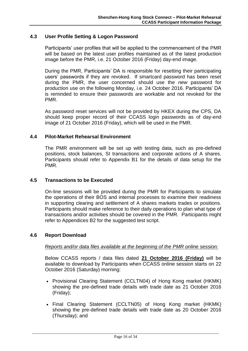# <span id="page-19-0"></span>**4.3 User Profile Setting & Logon Password**

Participants' user profiles that will be applied to the commencement of the PMR will be based on the latest user profiles maintained as of the latest production image before the PMR, i.e. 21 October 2016 (Friday) day-end image.

During the PMR, Participants' DA is responsible for resetting their participating users' passwords if they are revoked. If smartcard password has been reset during the PMR, the user concerned should use the *new* password for production use on the following Monday, i.e. 24 October 2016. Participants' DA is reminded to ensure their passwords are workable and not revoked for the PMR.

As password reset services will not be provided by HKEX during the CPS, DA should keep proper record of their CCASS login passwords as of day-end image of 21 October 2016 (Friday), which will be used in the PMR.

# <span id="page-19-1"></span>**4.4 Pilot-Market Rehearsal Environment**

The PMR environment will be set up with testing data, such as pre-defined positions, stock balances, SI transactions and corporate actions of A shares. Participants should refer to Appendix B1 for the details of data setup for the PMR.

# <span id="page-19-2"></span>**4.5 Transactions to be Executed**

On-line sessions will be provided during the PMR for Participants to simulate the operations of their BOS and internal processes to examine their readiness in supporting clearing and settlement of A shares markets trades or positions. Participants should make reference to their daily operations to plan what type of transactions and/or activities should be covered in the PMR. Participants might refer to Appendices B2 for the suggested test script.

### <span id="page-19-3"></span>**4.6 Report Download**

### *Reports and/or data files available at the beginning of the PMR online session:*

Below CCASS reports / data files dated **21 October 2016 (Friday)** will be available to download by Participants when CCASS online session starts on 22 October 2016 (Saturday) morning:

- Provisional Clearing Statement (CCLTN04) of Hong Kong market (HKMK) showing the pre-defined trade details with trade date as 21 October 2016 (Friday);
- Final Clearing Statement (CCLTN05) of Hong Kong market (HKMK) showing the pre-defined trade details with trade date as 20 October 2016 (Thursday); and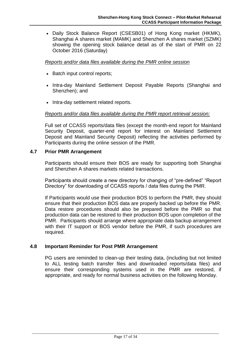Daily Stock Balance Report (CSESB01) of Hong Kong market (HKMK), Shanghai A shares market (MAMK) and Shenzhen A shares market (SZMK) showing the opening stock balance detail as of the start of PMR on 22 October 2016 (Saturday)

# *Reports and/or data files available during the PMR online session*

- Batch input control reports;
- Intra-day Mainland Settlement Deposit Payable Reports (Shanghai and Shenzhen); and
- Intra-day settlement related reports.

# *Reports and/or data files available during the PMR report retrieval session:*

Full set of CCASS reports/data files (except the month-end report for Mainland Security Deposit, quarter-end report for interest on Mainland Settlement Deposit and Mainland Security Deposit) reflecting the activities performed by Participants during the online session of the PMR.

# <span id="page-20-0"></span>**4.7 Prior PMR Arrangement**

Participants should ensure their BOS are ready for supporting both Shanghai and Shenzhen A shares markets related transactions.

Participants should create a new directory for changing of "pre-defined" "Report Directory" for downloading of CCASS reports / data files during the PMR.

If Participants would use their production BOS to perform the PMR, they should ensure that their production BOS data are properly backed up before the PMR. Data restore procedures should also be prepared before the PMR so that production data can be restored to their production BOS upon completion of the PMR. Participants should arrange where appropriate data backup arrangement with their IT support or BOS vendor before the PMR, if such procedures are required.

# <span id="page-20-1"></span>**4.8 Important Reminder for Post PMR Arrangement**

PG users are reminded to clean-up their testing data, (including but not limited to ALL testing batch transfer files and downloaded reports/data files) and ensure their corresponding systems used in the PMR are restored, if appropriate, and ready for normal business activities on the following Monday.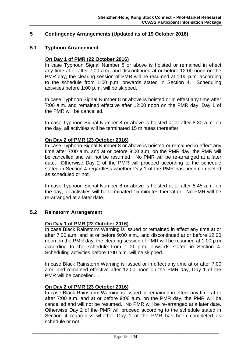# <span id="page-21-0"></span>**5 Contingency Arrangements (Updated as of 19 October 2016)**

### <span id="page-21-1"></span>**5.1 Typhoon Arrangement**

#### **On Day 1 of PMR (22 October 2016)**

In case Typhoon Signal Number 8 or above is hoisted or remained in effect any time at or after 7:00 a.m. and discontinued at or before 12:00 noon on the PMR day, the clearing session of PMR will be resumed at 1:00 p.m. according to the schedule from 1:00 p.m. onwards stated in Section 4. Scheduling activities before 1:00 p.m. will be skipped.

In case Typhoon Signal Number 8 or above is hoisted or in effect any time after 7:00 a.m. and remained effective after 12:00 noon on the PMR day, Day 1 of the PMR will be cancelled.

In case Typhoon Signal Number 8 or above is hoisted at or after 8:30 a.m. on the day, all activities will be terminated 15 minutes thereafter.

### **On Day 2 of PMR (23 October 2016)**

In case Typhoon Signal Number 8 or above is hoisted or remained in effect any time after 7:00 a.m. and at or before 9:00 a.m. on the PMR day, the PMR will be cancelled and will not be resumed. No PMR will be re-arranged at a later date. Otherwise Day 2 of the PMR will proceed according to the schedule stated in Section 4 regardless whether Day 1 of the PMR has been completed as scheduled or not,

In case Typhoon Signal Number 8 or above is hoisted at or after 8:45 a.m. on the day, all activities will be terminated 15 minutes thereafter. No PMR will be re-arranged at a later date.

### <span id="page-21-2"></span>**5.2 Rainstorm Arrangement**

#### **On Day 1 of PMR (22 October 2016)**

In case Black Rainstorm Warning is issued or remained in effect any time at or after 7:00 a.m. and at or before 9:00 a.m., and discontinued at or before 12:00 noon on the PMR day, the clearing session of PMR will be resumed at 1:00 p.m. according to the schedule from 1:00 p.m. onwards stated in Section 4. Scheduling activities before 1:00 p.m. will be skipped.

In case Black Rainstorm Warning is issued or in effect any time at or after 7:00 a.m. and remained effective after 12:00 noon on the PMR day, Day 1 of the PMR will be cancelled. .

## **On Day 2 of PMR (23 October 2016)**

In case Black Rainstorm Warning is issued or remained in effect any time at or after 7:00 a.m. and at or before 9:00 a.m. on the PMR day, the PMR will be cancelled and will not be resumed. No PMR will be re-arranged at a later date. Otherwise Day 2 of the PMR will proceed according to the schedule stated in Section 4 regardless whether Day 1 of the PMR has been completed as schedule or not.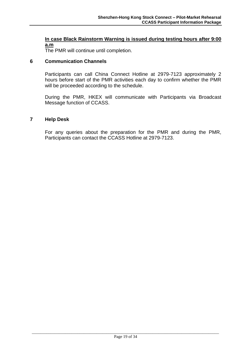# **In case Black Rainstorm Warning is issued during testing hours after 9:00 a.m**

The PMR will continue until completion.

# <span id="page-22-0"></span>**6 Communication Channels**

Participants can call China Connect Hotline at 2979-7123 approximately 2 hours before start of the PMR activities each day to confirm whether the PMR will be proceeded according to the schedule.

During the PMR, HKEX will communicate with Participants via Broadcast Message function of CCASS.

# <span id="page-22-1"></span>**7 Help Desk**

For any queries about the preparation for the PMR and during the PMR, Participants can contact the CCASS Hotline at 2979-7123.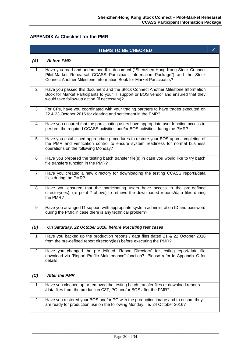# <span id="page-23-0"></span>**APPENDIX A: Checklist for the PMR**

|                | <b>ITEMS TO BE CHECKED</b>                                                                                                                                                                                                           | ✓ |
|----------------|--------------------------------------------------------------------------------------------------------------------------------------------------------------------------------------------------------------------------------------|---|
| (A)            | <b>Before PMR</b>                                                                                                                                                                                                                    |   |
| 1              | Have you read and understood this document ("Shenzhen-Hong Kong Stock Connect<br>Pilot-Market Rehearsal CCASS Participant Information Package") and the Stock<br>Connect Another Milestone Information Book for Market Participants? |   |
| $\overline{2}$ | Have you passed this document and the Stock Connect Another Milestone Information<br>Book for Market Participants to your IT support or BOS vendor and ensured that they<br>would take follow-up action (if necessary)?              |   |
| 3              | For CPs, have you coordinated with your trading partners to have trades executed on<br>22 & 23 October 2016 for clearing and settlement in the PMR?                                                                                  |   |
| 4              | Have you ensured that the participating users have appropriate user function access to<br>perform the required CCASS activities and/or BOS activities during the PMR?                                                                |   |
| 5              | Have you established appropriate procedures to restore your BOS upon completion of<br>the PMR and verification control to ensure system readiness for normal business<br>operations on the following Monday?                         |   |
| 6              | Have you prepared the testing batch transfer file(s) in case you would like to try batch<br>file transfers function in the PMR?                                                                                                      |   |
| $\overline{7}$ | Have you created a new directory for downloading the testing CCASS reports/data<br>files during the PMR?                                                                                                                             |   |
| 8              | Have you ensured that the participating users have access to the pre-defined<br>directory(ies), (re point 7 above) to retrieve the downloaded reports/data files during<br>the PMR?                                                  |   |
| 9              | Have you arranged IT support with appropriate system administration ID and password<br>during the PMR in case there is any technical problem?                                                                                        |   |
| (B)            | On Saturday, 22 October 2016, before executing test cases                                                                                                                                                                            |   |
| $\mathbf{1}$   | Have you backed up the production reports / data files dated 21 & 22 October 2016<br>from the pre-defined report directory(ies) before executing the PMR?                                                                            |   |
| $\overline{2}$ | Have you changed the pre-defined "Report Directory" for testing report/data file<br>download via "Report Profile Maintenance" function? Please refer to Appendix C for<br>details.                                                   |   |
| (C)            | <b>After the PMR</b>                                                                                                                                                                                                                 |   |
| 1              | Have you cleaned up or removed the testing batch transfer files or download reports<br>/data files from the production C3T, PG and/or BOS after the PMR?                                                                             |   |
| $\overline{2}$ | Have you restored your BOS and/or PG with the production image and to ensure they<br>are ready for production use on the following Monday, i.e. 24 October 2016?                                                                     |   |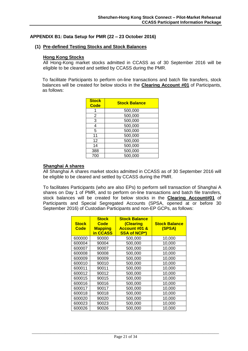#### <span id="page-24-0"></span>**APPENDIX B1: Data Setup for PMR (22 – 23 October 2016)**

#### **(1) Pre-defined Testing Stocks and Stock Balances**

#### **Hong Kong Stocks**

All Hong-Kong market stocks admitted in CCASS as of 30 September 2016 will be eligible to be cleared and settled by CCASS during the PMR.

To facilitate Participants to perform on-line transactions and batch file transfers, stock balances will be created for below stocks in the **Clearing Account #01** of Participants, as follows:

| <b>Stock</b><br><b>Code</b> | <b>Stock Balance</b> |
|-----------------------------|----------------------|
|                             | 500,000              |
| 2                           | 500,000              |
| 3                           | 500,000              |
| 4                           | 500,000              |
| 5                           | 500,000              |
| 11                          | 500,000              |
| 12                          | 500,000              |
| 14                          | 500,000              |
| 388                         | 500,000              |
| 700                         | 500,000              |

#### **Shanghai A shares**

All Shanghai A shares market stocks admitted in CCASS as of 30 September 2016 will be eligible to be cleared and settled by CCASS during the PMR.

To facilitates Participants (who are also EPs) to perform sell transaction of Shanghai A shares on Day 1 of PMR, and to perform on-line transactions and batch file transfers, stock balances will be created for below stocks in the **Clearing Account#01** of Participants and Special Segregated Accounts (SPSA, opened at or before 30 September 2016) of Custodian Participants and non-EP GCPs, as follows:

| <b>Stock</b><br><b>Code</b> | <b>Stock</b><br>Code<br><b>Mapping</b><br>in CCASS | <b>Stock Balance</b><br>(Clearing<br><b>Account #01 &amp;</b><br><b>SSA of NCP*)</b> | <b>Stock Balance</b><br>(SPSA) |
|-----------------------------|----------------------------------------------------|--------------------------------------------------------------------------------------|--------------------------------|
| 600000                      | 90000                                              | 500,000                                                                              | 10,000                         |
| 600004                      | 90004                                              | 500,000                                                                              | 10,000                         |
| 600007                      | 90007                                              | 500,000                                                                              | 10,000                         |
| 600008                      | 90008                                              | 500,000                                                                              | 10,000                         |
| 600009                      | 90009                                              | 500,000                                                                              | 10,000                         |
| 600010                      | 90010                                              | 500,000                                                                              | 10,000                         |
| 600011                      | 90011                                              | 500,000                                                                              | 10,000                         |
| 600012                      | 90012                                              | 500,000                                                                              | 10,000                         |
| 600015                      | 90015                                              | 500,000                                                                              | 10,000                         |
| 600016                      | 90016                                              | 500,000                                                                              | 10,000                         |
| 600017                      | 90017                                              | 500,000                                                                              | 10,000                         |
| 600018                      | 90018                                              | 500,000                                                                              | 10,000                         |
| 600020                      | 90020                                              | 500,000                                                                              | 10,000                         |
| 600023                      | 90023                                              | 500,000                                                                              | 10,000                         |
| 600026                      | 90026                                              | 500,000                                                                              | 10,000                         |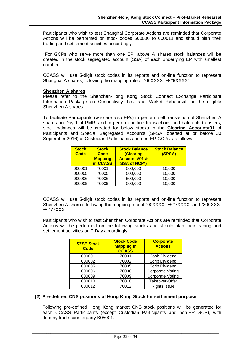Participants who wish to test Shanghai Corporate Actions are reminded that Corporate Actions will be performed on stock codes 600000 to 600011 and should plan their trading and settlement activities accordingly.

\*For GCPs who serve more than one EP, above A shares stock balances will be created in the stock segregated account (SSA) of each underlying EP with smallest number.

CCASS will use 5-digit stock codes in its reports and on-line function to represent Shanghai A shares, following the mapping rule of "60XXXX"  $\rightarrow$  "9XXXX"

#### **Shenzhen A shares**

Please refer to the Shenzhen-Hong Kong Stock Connect Exchange Participant Information Package on Connectivity Test and Market Rehearsal for the eligible Shenzhen A shares.

To facilitate Participants (who are also EPs) to perform sell transaction of Shenzhen A shares on Day 1 of PMR, and to perform on-line transactions and batch file transfers, stock balances will be created for below stocks in the **Clearing Account#01** of Participants and Special Segregated Accounts (SPSA, opened at or before 30 September 2016) of Custodian Participants and non-EP GCPs, as follows:

| <b>Stock</b><br><b>Code</b> | <b>Stock</b><br>Code<br><b>Mapping</b><br>in CCASS | <b>Stock Balance</b><br>(Clearing<br><b>Account #01 &amp;</b><br><b>SSA of NCP*)</b> | <b>Stock Balance</b><br>(SPSA) |
|-----------------------------|----------------------------------------------------|--------------------------------------------------------------------------------------|--------------------------------|
| 000001                      | 70001                                              | 500,000                                                                              | 10,000                         |
| 000005                      | 70005                                              | 500,000                                                                              | 10,000                         |
| 000006                      | 70006                                              | 500,000                                                                              | 10,000                         |
| 000009                      | 70009                                              | 500,000                                                                              | 10,000                         |

CCASS will use 5-digit stock codes in its reports and on-line function to represent Shenzhen A shares, following the mapping rule of "00XXXX"  $\rightarrow$  "7XXXX" and "300XXX"  $\rightarrow$  "77XXX".

Participants who wish to test Shenzhen Corporate Actions are reminded that Corporate Actions will be performed on the following stocks and should plan their trading and settlement activities on T Day accordingly.

| <b>SZSE Stock</b><br><b>Code</b> | <b>Stock Code</b><br><b>Mapping in</b><br><b>CCASS</b> | <b>Corporate</b><br><b>Actions</b> |
|----------------------------------|--------------------------------------------------------|------------------------------------|
| 000001                           | 70001                                                  | Cash Dividend                      |
| 000002                           | 70002                                                  | <b>Scrip Dividend</b>              |
| 000005                           | 70005                                                  | <b>Scrip Dividend</b>              |
| 000006                           | 70006                                                  | <b>Corporate Voting</b>            |
| 000009                           | 70009                                                  | <b>Corporate Voting</b>            |
| 000010                           | 70010                                                  | Takeover-Offer                     |
| 000012                           | 70012                                                  | <b>Rights Issue</b>                |

### **(2) Pre-defined CNS positions of Hong Kong Stock for settlement purpose**

Following pre-defined Hong Kong market CNS stock positions will be generated for each CCASS Participants (except Custodian Participants and non-EP GCP), with dummy trade counterparty B05001.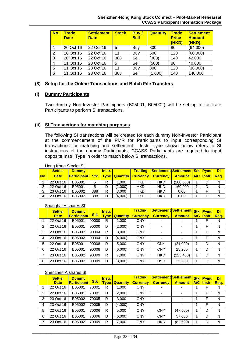| No. | <b>Trade</b><br><b>Date</b> | <b>Settlement</b><br><b>Date</b> | <b>Stock</b> | Buy/<br><b>Sell</b> | <b>Quantity</b> | <b>Trade</b><br><b>Price</b><br>(HKD) | <b>Settlement</b><br><b>Amount</b><br>(HKD) |
|-----|-----------------------------|----------------------------------|--------------|---------------------|-----------------|---------------------------------------|---------------------------------------------|
|     | 20 Oct 16                   | 22 Oct 16                        | 5            | Buy                 | 800             | 80                                    | (64,000)                                    |
| 2   | 20 Oct 16                   | 22 Oct 16                        | 11           | Buy                 | 500             | 120                                   | (60,000)                                    |
| 3   | 20 Oct 16                   | 22 Oct 16                        | 388          | Sell                | (300)           | 140                                   | 42,000                                      |
| 4   | 21 Oct 16                   | 23 Oct 16                        | 5            | Sell                | (500)           | 80                                    | 40,000                                      |
| 5   | 21 Oct 16                   | 23 Oct 16                        | 11           | Buy                 | 300             | 120                                   | (36,000)                                    |
| 6   | 21 Oct 16                   | 23 Oct 16                        | 388          | Sell                | (1,000)         | 140                                   | 140,000                                     |

### **(3) Setup for the Online Transactions and Batch File Transfers**

#### **(i) Dummy Participants**

Two dummy Non-Investor Participants (B05001, B05002) will be set up to facilitate Participants to perform SI transactions.

#### **(ii) SI Transactions for matching purposes**

The following SI transactions will be created for each dummy Non-Investor Participant at the commencement of the PMR for Participants to input corresponding SI transactions for matching and settlement. Instr. Type shown below refers to SI instructions of the dummy Participants, CCASS Participants are required to input opposite Instr. Type in order to match below SI transactions.

|                | Settle.     | <b>Dummy</b>       |            | <b>Instr.</b> |         | <b>Trading</b>                        | <b>Settlement Settlement   Stk   Pymt  </b> |                              |   | <b>DI</b> |
|----------------|-------------|--------------------|------------|---------------|---------|---------------------------------------|---------------------------------------------|------------------------------|---|-----------|
| No.            | <b>Date</b> | <b>Participant</b> | <b>Stk</b> |               |         | <u>  Type   Quantity   Currency  </u> | <b>Currency</b>                             | Amount   A/C   Instr.   Rea. |   |           |
|                | 22 Oct 16   | B05001             | 5          | R             | 1.000   | <b>HKD</b>                            | <b>HKD</b>                                  | (160,000)                    | D | N         |
| 2              | 22 Oct 16   | B05001             | 5          | D             | (2,000) | <b>HKD</b>                            | <b>HKD</b>                                  | 160,000                      | D | N         |
| 3              | 23 Oct 16   | B05002             | 388        | R             | 3.000   | <b>HKD</b>                            | <b>HKD</b>                                  | 0.00                         |   | N         |
| $\overline{4}$ | 23 Oct 16   | B05002             | 388        | D             | (4,000) | <b>HKD</b>                            | <b>HKD</b>                                  | 0.00                         |   | N         |

#### Hong Kong Stocks SI

#### Shanghai A shares SI

|   | Settle.     | <b>Dummy</b>       |            | Instr.      |                 | <b>Trading</b>  | Settlement Settlement Stk Pymt |                          |              | <b>DI</b> |
|---|-------------|--------------------|------------|-------------|-----------------|-----------------|--------------------------------|--------------------------|--------------|-----------|
|   | <b>Date</b> | <b>Participant</b> | <b>Stk</b> | <b>Type</b> | <b>Quantity</b> | <b>Currency</b> | <b>Currency</b>                | <b>Amount</b>            | A/C   Instr. | Reg.      |
|   | 22 Oct 16   | B05001             | 90000      | R           | 1,000           | <b>CNY</b>      |                                |                          | F            | N         |
| 2 | 22 Oct 16   | B05001             | 90000      | D           | (2,000)         | <b>CNY</b>      |                                | $\overline{\phantom{0}}$ | F            | N         |
| 3 | 23 Oct 16   | B05002             | 90004      | R           | 3,000           | <b>CNY</b>      |                                |                          | F            | N         |
| 4 | 23 Oct 16   | B05002             | 90004      | D           | (4,000)         | <b>CNY</b>      |                                | -                        | F            | N         |
| 5 | 22 Oct 16   | B05001             | 90008      | R           | 5.000           | <b>CNY</b>      | <b>CNY</b>                     | (21,000)                 | D            | N         |
| 6 | 22 Oct 16   | B05001             | 90008      | D           | (6,000)         | <b>CNY</b>      | <b>CNY</b>                     | 25,200                   | D            | N         |
| 7 | 23 Oct 16   | B05002             | 90009      | R           | 7,000           | <b>CNY</b>      | <b>HKD</b>                     | (225, 400)               | D            | N         |
| 8 | 23 Oct 16   | B05002             | 90009      | D           | (8,000)         | <b>CNY</b>      | USD                            | 33.200                   | D            | N         |

#### Shenzhen A shares SI

|                | Settle.     | <b>Dummy</b>       |            | Instr.      |                 | <b>Trading</b>  |                          | Settlement Settlement    | <b>Stk Pymt</b> | DI   |
|----------------|-------------|--------------------|------------|-------------|-----------------|-----------------|--------------------------|--------------------------|-----------------|------|
|                | <b>Date</b> | <b>Participant</b> | <b>Stk</b> | <b>Type</b> | <b>Quantity</b> | <b>Currency</b> | <b>Currency</b>          | <b>Amount</b>            | A/C Instr.      | Req. |
|                | 22 Oct 16   | B05001             | 70001      | R           | 1,000           | <b>CNY</b>      | -                        | $\overline{\phantom{0}}$ | F               | N    |
| $\overline{2}$ | 22 Oct 16   | B05001             | 70001      | D           | (2,000)         | <b>CNY</b>      | $\overline{\phantom{0}}$ | $\overline{\phantom{0}}$ | F               | N    |
| 3              | 23 Oct 16   | B05002             | 70005      | R           | 3,000           | <b>CNY</b>      |                          | $\overline{\phantom{0}}$ | F               | N    |
| 4              | 23 Oct 16   | B05002             | 70005      | D           | (4,000)         | <b>CNY</b>      |                          | $\overline{\phantom{0}}$ | F               | N    |
| 5              | 22 Oct 16   | B05001             | 70006      | R           | 5,000           | <b>CNY</b>      | <b>CNY</b>               | (47,500)                 | D               | N    |
| 6              | 22 Oct 16   | B05001             | 70006      | D           | (6,000)         | <b>CNY</b>      | <b>CNY</b>               | 57,000                   | D               | N    |
| 7              | 23 Oct 16   | B05002             | 70009      | R           | 7,000           | <b>CNY</b>      | <b>HKD</b>               | (82,600)                 | D               | N    |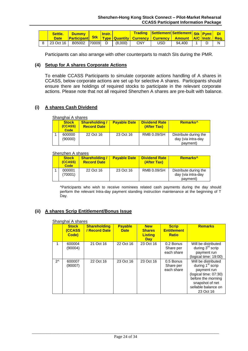| Settle.<br><b>Date</b> | <b>Dummy</b>           | <b>Instr.</b> |            | <mark>√ Trading Settlement Settlement Stk Pymt DI</mark><br>Participant Stk Type Quantity Currency Currency Amount A/C Instr. Req. |              |   |  |
|------------------------|------------------------|---------------|------------|------------------------------------------------------------------------------------------------------------------------------------|--------------|---|--|
| 8 23 Oct 16            | B05002 70009 D (8,000) |               | <b>CNY</b> | USD.                                                                                                                               | $94,400$   1 | D |  |

Participants can also arrange with other counterparts to match SIs during the PMR.

#### **(4) Setup for A shares Corporate Actions**

To enable CCASS Participants to simulate corporate actions handling of A shares in CCASS, below corporate actions are set up for selective A shares. Participants should ensure there are holdings of required stocks to participate in the relevant corporate actions. Please note that not all required Shenzhen A shares are pre-built with balance.

# **(i) A shares Cash Dividend**

| Shanghai A shares               |                                             |                     |                                     |                                                         |
|---------------------------------|---------------------------------------------|---------------------|-------------------------------------|---------------------------------------------------------|
| <b>Stock</b><br>(CCASS)<br>Code | <b>Shareholding /</b><br><b>Record Date</b> | <b>Payable Date</b> | <b>Dividend Rate</b><br>(After Tax) | Remarks <sup>^</sup>                                    |
| 600000<br>(90000)               | 22 Oct 16                                   | 23 Oct 16           | RMB 0.09/SH                         | Distribute during the<br>day (via intra-day<br>payment) |

#### Shenzhen A shares

| <b>Stock</b><br>(CCASS)<br>Code | <b>Shareholding/</b><br><b>Record Date</b> | <b>Payable Date</b> | <b>Dividend Rate</b><br>(After Tax) | Remarks <sup>^</sup>                                    |
|---------------------------------|--------------------------------------------|---------------------|-------------------------------------|---------------------------------------------------------|
| 000001<br>(70001)               | 22 Oct 16                                  | 23 Oct 16           | <b>RMB 0.09/SH</b>                  | Distribute during the<br>day (via intra-day<br>payment) |

^Participants who wish to receive nominees related cash payments during the day should perform the relevant Intra-day payment standing instruction maintenance at the beginning of T Day.

# **(ii) A shares Scrip Entitlement/Bonus Issue**

|              | Shanghai A shares                      |                                      |                               |                                                             |                                                    |                                                                                                                                                                          |  |
|--------------|----------------------------------------|--------------------------------------|-------------------------------|-------------------------------------------------------------|----------------------------------------------------|--------------------------------------------------------------------------------------------------------------------------------------------------------------------------|--|
|              | <b>Stock</b><br><b>(CCASS</b><br>Code) | <b>Shareholding</b><br>/ Record Date | <b>Payable</b><br><b>Date</b> | <b>New</b><br><b>Shares</b><br><b>Listing</b><br><b>Day</b> | <b>Scrip</b><br><b>Entitlement</b><br><b>Ratio</b> | <b>Remarks</b>                                                                                                                                                           |  |
| 1            | 600004<br>(90004)                      | 21 Oct 16                            | 22 Oct 16                     | 23 Oct 16                                                   | 0.2 Bonus<br>Share per<br>each share               | Will be distributed<br>during $3rd$ scrip<br>payment run<br>(logical time: 19:00)                                                                                        |  |
| $2^{\wedge}$ | 600007<br>(90007)                      | 22 Oct 16                            | 23 Oct 16                     | 23 Oct 16                                                   | 0.5 Bonus<br>Share per<br>each share               | Will be distributed<br>during 1 <sup>st</sup> scrip<br>payment run<br>(logical time: 07:30)<br>before the morning<br>snapshot of net<br>sellable balance on<br>23 Oct 16 |  |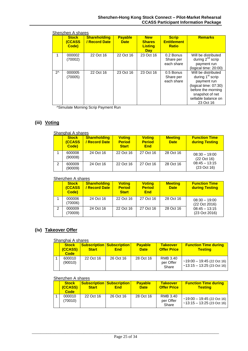|              | <b>Stock</b><br><b>(CCASS</b><br>Code) | <b>Shareholding</b><br>/ Record Date | <b>Payable</b><br><b>Date</b> | <b>New</b><br><b>Shares</b><br><b>Listing</b><br><b>Day</b> | <b>Scrip</b><br><b>Entitlement</b><br><b>Ratio</b> | <b>Remarks</b>                                                                                                                                                           |
|--------------|----------------------------------------|--------------------------------------|-------------------------------|-------------------------------------------------------------|----------------------------------------------------|--------------------------------------------------------------------------------------------------------------------------------------------------------------------------|
|              | 000002<br>(70002)                      | 22 Oct 16                            | 22 Oct 16                     | 23 Oct 16                                                   | 0.2 Bonus<br>Share per<br>each share               | Will be distributed<br>during $2^{nd}$ scrip<br>payment run<br>(logical time: 20:00)                                                                                     |
| $2^{\wedge}$ | 000005<br>(70005)                      | 22 Oct 16                            | 23 Oct 16                     | 23 Oct 16                                                   | 0.5 Bonus<br>Share per<br>each share               | Will be distributed<br>during 1 <sup>st</sup> scrip<br>payment run<br>(logical time: 07:30)<br>before the morning<br>snapshot of net<br>sellable balance on<br>23 Oct 16 |

Shenzhen A shares

^Simulate Morning Scrip Payment Run

# **(iii) Voting**

|               | Shanghai A shares                     |                                           |                                                |                                              |                               |                                        |
|---------------|---------------------------------------|-------------------------------------------|------------------------------------------------|----------------------------------------------|-------------------------------|----------------------------------------|
|               | <b>Stock</b><br><b>CCASS</b><br>Code) | <b>Shareholding</b><br><b>Record Date</b> | <b>Voting</b><br><b>Period</b><br><b>Start</b> | <b>Voting</b><br><b>Period</b><br><b>End</b> | <b>Meeting</b><br><b>Date</b> | <b>Function Time</b><br>during Testing |
|               | 600008<br>(90008)                     | 24 Oct 16                                 | 22 Oct 16                                      | 27 Oct 16                                    | 28 Oct 16                     | $08:30 - 19:00$<br>(22 Oct 16)         |
| $\mathcal{P}$ | 600009<br>(90009)                     | 24 Oct 16                                 | 22 Oct 16                                      | 27 Oct 16                                    | 28 Oct 16                     | $08:45 - 13:15$<br>(23 Oct 16)         |

#### Shenzhen A shares

|   | <b>Stock</b><br><b>CCASS</b><br>Code) | <b>Shareholding</b><br><b>Record Date</b> | <b>Voting</b><br><b>Period</b><br><b>Start</b> | <b>Voting</b><br><b>Period</b><br><b>End</b> | <b>Meeting</b><br><b>Date</b> | <b>Function Time</b><br>during Testing |
|---|---------------------------------------|-------------------------------------------|------------------------------------------------|----------------------------------------------|-------------------------------|----------------------------------------|
|   | 000006<br>(70006)                     | 24 Oct 16                                 | 22 Oct 16                                      | 27 Oct 16                                    | 28 Oct 16                     | $08:30 - 19:00$<br>(22 Oct 2016)       |
| 2 | 000009<br>(70009)                     | 24 Oct 16                                 | 22 Oct 16                                      | 27 Oct 16                                    | 28 Oct 16                     | $08:45 - 13:15$<br>(23 Oct 2016)       |

# **(iv) Takeover Offer**

#### Shanghai A shares

| <b>Stock</b><br>(CCASS)<br><b>Code</b> | <b>Start</b> | <b>Subscription Subscription</b><br><b>End</b> | <b>Payable</b><br><b>Date</b> | <b>Takeover</b><br><b>Offer Price</b> | <b>Function Time during</b><br><b>Testing</b>                          |
|----------------------------------------|--------------|------------------------------------------------|-------------------------------|---------------------------------------|------------------------------------------------------------------------|
| 600010<br>(90010)                      | 22 Oct 16    | 26 Oct 16                                      | 28 Oct 16                     | RMB 3.40<br>per Offer<br>Share        | $\sim$ 19:00 $-$ 19:45 (22 Oct 16)<br>$\sim$ 13:15 – 13:25 (23 Oct 16) |

#### Shenzhen A shares

| <b>Stock</b><br>(CCASS)<br><b>Code</b> | <b>Start</b> | <b>Subscription Subscription</b><br><b>End</b> | <b>Payable</b><br><b>Date</b> | <b>Takeover</b><br><b>Offer Price</b> | <b>Function Time during</b><br><u>Testina</u>                |
|----------------------------------------|--------------|------------------------------------------------|-------------------------------|---------------------------------------|--------------------------------------------------------------|
| 000010<br>(70010)                      | 22 Oct 16    | 26 Oct 16                                      | 28 Oct 16                     | RMB 3.40<br>per Offer<br>Share        | $~19:00 - 19:45$ (22 Oct 16)<br>$~13:15 - 13:25$ (23 Oct 16) |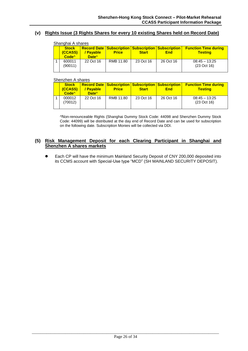#### **(v) Rights Issue (3 Rights Shares for every 10 existing Shares held on Record Date)**

|  | Shanghai A shares                            |                                |              |              |                                                                                 |                                               |
|--|----------------------------------------------|--------------------------------|--------------|--------------|---------------------------------------------------------------------------------|-----------------------------------------------|
|  | <b>Stock</b><br>(CCASS)<br>Code <sup>^</sup> | / Pavable<br>Date <sup>^</sup> | <b>Price</b> | <b>Start</b> | <b>Record Date   Subscription   Subscription   Subscription  </b><br><b>End</b> | <b>Function Time during</b><br><b>Testing</b> |
|  | 600011<br>(90011)                            | 22 Oct 16                      | RMB 11.80    | 23 Oct 16    | 26 Oct 16                                                                       | $08:45 - 13:25$<br>(23 Oct 16)                |

#### Shenzhen A shares

| <b>Stock</b><br>(CCASS)<br>Code <sub>4</sub> | / Pavable<br>Date <sup>^</sup> | <b>Price</b> | <b>Start</b> | <b>Record Date   Subscription   Subscription   Subscription  </b><br><b>End</b> | <b>Function Time during</b><br><u>Testina</u> |
|----------------------------------------------|--------------------------------|--------------|--------------|---------------------------------------------------------------------------------|-----------------------------------------------|
| 000012<br>(70012)                            | 22 Oct 16                      | RMB 11.80    | 23 Oct 16    | 26 Oct 16                                                                       | $08:45 - 13:25$<br>(23 Oct 16)                |

^Non-renounceable Rights (Shanghai Dummy Stock Code: 44098 and Shenzhen Dummy Stock Code: 44099) will be distributed at the day end of Record Date and can be used for subscription on the following date. Subscription Monies will be collected via DDI.

#### **(5) Risk Management Deposit for each Clearing Participant in Shanghai and Shenzhen A shares markets**

 Each CP will have the minimum Mainland Security Deposit of CNY 200,000 deposited into its CCMS account with Special-Use type "MCD" (SH MAINLAND SECURITY DEPOSIT).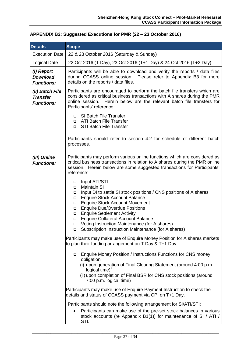| <b>Details</b>                                          | <b>Scope</b>                                                                                                                                                                                                                                                                                                                                                                                                                                                                                              |
|---------------------------------------------------------|-----------------------------------------------------------------------------------------------------------------------------------------------------------------------------------------------------------------------------------------------------------------------------------------------------------------------------------------------------------------------------------------------------------------------------------------------------------------------------------------------------------|
| <b>Execution Date</b>                                   | 22 & 23 October 2016 (Saturday & Sunday)                                                                                                                                                                                                                                                                                                                                                                                                                                                                  |
| <b>Logical Date</b>                                     | 22 Oct 2016 (T Day), 23 Oct 2016 (T+1 Day) & 24 Oct 2016 (T+2 Day)                                                                                                                                                                                                                                                                                                                                                                                                                                        |
| (I) Report<br><b>Download</b><br><b>Functions:</b>      | Participants will be able to download and verify the reports / data files<br>during CCASS online session. Please refer to Appendix B3 for more<br>details on the reports / data files.                                                                                                                                                                                                                                                                                                                    |
| (II) Batch File<br><b>Transfer</b><br><b>Functions:</b> | Participants are encouraged to perform the batch file transfers which are<br>considered as critical business transactions with A shares during the PMR<br>online session. Herein below are the relevant batch file transfers for<br>Participants' reference:                                                                                                                                                                                                                                              |
|                                                         | □ SI Batch File Transfer<br>ATI Batch File Transfer<br>$\Box$<br><b>STI Batch File Transfer</b><br>$\Box$                                                                                                                                                                                                                                                                                                                                                                                                 |
|                                                         | Participants should refer to section 4.2 for schedule of different batch<br>processes.                                                                                                                                                                                                                                                                                                                                                                                                                    |
| (III) Online<br><b>Functions:</b>                       | Participants may perform various online functions which are considered as<br>critical business transactions in relation to A shares during the PMR online<br>session. Herein below are some suggested transactions for Participants'<br>reference:-                                                                                                                                                                                                                                                       |
|                                                         | Input ATI/STI<br>$\Box$<br><b>Maintain SI</b><br>$\Box$<br>Input DI to settle SI stock positions / CNS positions of A shares<br>$\Box$<br><b>Enquire Stock Account Balance</b><br>$\Box$<br><b>Enquire Stock Account Movement</b><br>$\Box$<br><b>Enquire Due/Overdue Positions</b><br><b>Enquire Settlement Activity</b><br>$\Box$<br><b>Enquire Collateral Account Balance</b><br>▫<br>Voting Instruction Maintenance (for A shares)<br>$\Box$<br>□ Subscription Instruction Maintenance (for A shares) |
|                                                         | Participants may make use of Enquire Money Position for A shares markets<br>to plan their funding arrangement on T Day & T+1 Day:                                                                                                                                                                                                                                                                                                                                                                         |
|                                                         | □ Enquire Money Position / Instructions Functions for CNS money<br>obligation<br>(i) upon generation of Final Clearing Statement (around 4:00 p.m.<br>logical time) $1$<br>(ii) upon completion of Final BSR for CNS stock positions (around<br>7:00 p.m. logical time)                                                                                                                                                                                                                                   |
|                                                         | Participants may make use of Enquire Payment Instruction to check the<br>details and status of CCASS payment via CPI on T+1 Day.                                                                                                                                                                                                                                                                                                                                                                          |
|                                                         | Participants should note the following arrangement for SI/ATI/STI:<br>Participants can make use of the pre-set stock balances in various<br>stock accounts (re Appendix B1(1)) for maintenance of SI / ATI /<br>STI.                                                                                                                                                                                                                                                                                      |

# <span id="page-30-0"></span>**APPENDIX B2: Suggested Executions for PMR (22 – 23 October 2016)**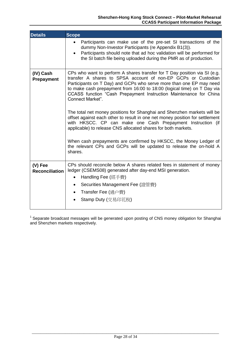| <b>Details</b>                   | <b>Scope</b>                                                                                                                                                                                                                                                                                                                                                                                                                                                                                                                                                                                                                                                                                                                                                                                                                           |
|----------------------------------|----------------------------------------------------------------------------------------------------------------------------------------------------------------------------------------------------------------------------------------------------------------------------------------------------------------------------------------------------------------------------------------------------------------------------------------------------------------------------------------------------------------------------------------------------------------------------------------------------------------------------------------------------------------------------------------------------------------------------------------------------------------------------------------------------------------------------------------|
|                                  | Participants can make use of the pre-set SI transactions of the<br>dummy Non-Investor Participants (re Appendix B1(3)).<br>Participants should note that ad hoc validation will be performed for<br>the SI batch file being uploaded during the PMR as of production.                                                                                                                                                                                                                                                                                                                                                                                                                                                                                                                                                                  |
| (IV) Cash<br>Prepayment          | CPs who want to perform A shares transfer for T Day position via SI (e.g.<br>transfer A shares to SPSA account of non-EP GCPs or Custodian<br>Participants on T Day) and GCPs who serve more than one EP may need<br>to make cash prepayment from 16:00 to 18:00 (logical time) on T Day via<br>CCASS function "Cash Prepayment Instruction Maintenance for China<br>Connect Market".<br>The total net money positions for Shanghai and Shenzhen markets will be<br>offset against each other to result in one net money position for settlement<br>with HKSCC. CP can make one Cash Prepayment Instruction (if<br>applicable) to release CNS allocated shares for both markets.<br>When cash prepayments are confirmed by HKSCC, the Money Ledger of<br>the relevant CPs and GCPs will be updated to release the on-hold A<br>shares. |
| (V) Fee<br><b>Reconciliation</b> | CPs should reconcile below A shares related fees in statement of money<br>ledger (CSEMS08) generated after day-end MSI generation.<br>Handling Fee (經手費)<br>Securities Management Fee (證管費)<br>$\bullet$<br>Transfer Fee (過户費)<br>Stamp Duty (交易印花稅)                                                                                                                                                                                                                                                                                                                                                                                                                                                                                                                                                                                   |

<sup>1</sup> Separate broadcast messages will be generated upon posting of CNS money obligation for Shanghai and Shenzhen markets respectively.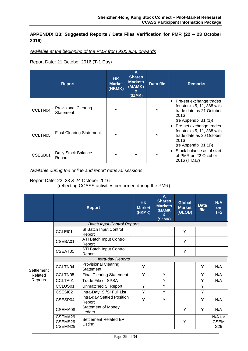# <span id="page-32-0"></span>**APPENDIX B3: Suggested Reports / Data Files Verification for PMR (22 – 23 October 2016)**

# *Available at the beginning of the PMR from 9:00 a.m. onwards*

Report Date: 21 October 2016 (T-1 Day)

| <b>Report</b> |                                          | HK.<br><b>Market</b><br>(HKMK) | A<br><b>Shares</b><br><b>Markets</b><br>(MAMK)<br>&<br>(SZMK) | Data file | <b>Remarks</b>                                                                                                      |
|---------------|------------------------------------------|--------------------------------|---------------------------------------------------------------|-----------|---------------------------------------------------------------------------------------------------------------------|
| CCLTN04       | <b>Provisional Clearing</b><br>Statement | Υ                              |                                                               | Y         | • Pre-set exchange trades<br>for stocks 5, 11, 388 with<br>trade date as 21 October<br>2016<br>(re Appendix B1 (1)) |
| CCLTN05       | <b>Final Clearing Statement</b>          | ⋎                              |                                                               | Υ         | • Pre-set exchange trades<br>for stocks 5, 11, 388 with<br>trade date as 20 October<br>2016<br>(re Appendix B1 (1)) |
| CSESB01       | Daily Stock Balance<br>Report            | Y                              | Υ                                                             | Υ         | Stock balance as of start<br>$\bullet$<br>of PMR on 22 October<br>2016 (T Day)                                      |

*Available during the online and report retrieval sessions*

Report Date: 22, 23 & 24 October 2016

(reflecting CCASS activities performed during the PMR)

|            |                               | <b>Report</b>                            | <b>HK</b><br><b>Market</b><br>(HKMK) | A<br><b>Shares</b><br><b>Markets</b><br>(MAMK<br>&<br>(SZMK) | <b>Global</b><br><b>Market</b><br>(GLOB) | <b>Data</b><br>file | N/A<br><b>on</b><br>$T+2$     |  |  |
|------------|-------------------------------|------------------------------------------|--------------------------------------|--------------------------------------------------------------|------------------------------------------|---------------------|-------------------------------|--|--|
|            |                               | <b>Batch Input Control Reports</b>       |                                      |                                                              |                                          |                     |                               |  |  |
|            | CCLEI01                       | SI Batch Input Control<br>Report         |                                      |                                                              | Y                                        |                     |                               |  |  |
|            | CSEBA01                       | <b>ATI Batch Input Control</b><br>Report |                                      |                                                              | Y                                        |                     |                               |  |  |
|            | CSEAT01                       | STI Batch Input Control<br>Report        |                                      |                                                              | Y                                        |                     |                               |  |  |
|            | Intra-day Reports             |                                          |                                      |                                                              |                                          |                     |                               |  |  |
| Settlement | CCLTN04                       | <b>Provisional Clearing</b><br>Statement | Y                                    |                                                              |                                          | Y                   | N/A                           |  |  |
| Related    | CCLTN05                       | <b>Final Clearing Statement</b>          | Y                                    | Y                                                            |                                          | Y                   | N/A                           |  |  |
| Reports    | CCLTA01                       | Trade File of SPSA                       |                                      | Y                                                            |                                          | Y                   | N/A                           |  |  |
|            | CCLUS01                       | <b>Unmatched SI Report</b>               | Y                                    | Y                                                            |                                          | Y                   |                               |  |  |
|            | CSESI02                       | Intra-Day ISI/SI Full List               | Y                                    | Y                                                            |                                          | Y                   |                               |  |  |
|            | CSESP04                       | Intra-day Settled Position<br>Report     | Y                                    | Y                                                            |                                          | Y                   | N/A                           |  |  |
|            | CSEMA08                       | <b>Statement of Money</b><br>Ledger      |                                      |                                                              | Y                                        | Y                   | N/A                           |  |  |
|            | CSEMA29<br>CSEMS29<br>CSEMN29 | Settlement Related EPI<br>Listing        |                                      |                                                              | Y                                        |                     | N/A for<br><b>CSEM</b><br>S29 |  |  |
|            |                               |                                          |                                      |                                                              |                                          |                     |                               |  |  |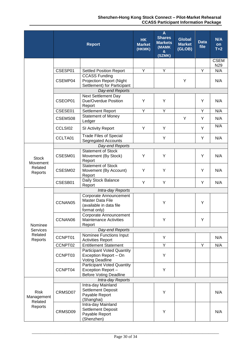#### **Shenzhen-Hong Kong Stock Connect – Pilot-Market Rehearsal CCASS Participant Information Package**

|                                |                                                                                                                                                                                                                                                                                                                                                                                                                                                                                                                                                                                                                                                                                                                                                                                                                                                                                                                                                                                                                                                    | <b>Report</b>                                                                   | <b>HK</b><br><b>Market</b><br>(HKMK) | A<br><b>Shares</b><br><b>Markets</b><br>(MAMK<br>&<br>(SZMK) | <b>Global</b><br><b>Market</b><br>(GLOB) | <b>Data</b><br>file | N/A<br>on<br>$T+2$     |  |  |
|--------------------------------|----------------------------------------------------------------------------------------------------------------------------------------------------------------------------------------------------------------------------------------------------------------------------------------------------------------------------------------------------------------------------------------------------------------------------------------------------------------------------------------------------------------------------------------------------------------------------------------------------------------------------------------------------------------------------------------------------------------------------------------------------------------------------------------------------------------------------------------------------------------------------------------------------------------------------------------------------------------------------------------------------------------------------------------------------|---------------------------------------------------------------------------------|--------------------------------------|--------------------------------------------------------------|------------------------------------------|---------------------|------------------------|--|--|
|                                |                                                                                                                                                                                                                                                                                                                                                                                                                                                                                                                                                                                                                                                                                                                                                                                                                                                                                                                                                                                                                                                    |                                                                                 |                                      |                                                              |                                          |                     | <b>CSEM</b>            |  |  |
|                                |                                                                                                                                                                                                                                                                                                                                                                                                                                                                                                                                                                                                                                                                                                                                                                                                                                                                                                                                                                                                                                                    |                                                                                 | Y                                    | Y                                                            |                                          | Y                   | N <sub>29</sub><br>N/A |  |  |
|                                | CSEMP04                                                                                                                                                                                                                                                                                                                                                                                                                                                                                                                                                                                                                                                                                                                                                                                                                                                                                                                                                                                                                                            | <b>CCASS Funding</b><br><b>Projection Report (Night</b>                         |                                      |                                                              | Y                                        |                     | N/A                    |  |  |
|                                |                                                                                                                                                                                                                                                                                                                                                                                                                                                                                                                                                                                                                                                                                                                                                                                                                                                                                                                                                                                                                                                    |                                                                                 |                                      |                                                              |                                          |                     |                        |  |  |
|                                | CSEOP01                                                                                                                                                                                                                                                                                                                                                                                                                                                                                                                                                                                                                                                                                                                                                                                                                                                                                                                                                                                                                                            | <b>Next Settlement Day</b><br>Due/Overdue Position                              | Y                                    | Υ                                                            |                                          | Y                   | N/A                    |  |  |
|                                | CSESE01                                                                                                                                                                                                                                                                                                                                                                                                                                                                                                                                                                                                                                                                                                                                                                                                                                                                                                                                                                                                                                            | <b>Settlement Report</b>                                                        | Y                                    | Y                                                            |                                          | Y                   | N/A                    |  |  |
|                                | CSEMS08                                                                                                                                                                                                                                                                                                                                                                                                                                                                                                                                                                                                                                                                                                                                                                                                                                                                                                                                                                                                                                            | <b>Statement of Money</b><br>Ledger                                             |                                      |                                                              | Y                                        | Y                   | N/A                    |  |  |
|                                | CSESP01<br><b>Settled Position Report</b><br>Settlement) for Participant<br>Day-end Reports<br>Report<br>Y<br>Y<br>Y<br>CCLSI02<br>SI Activity Report<br><b>Trade Files of Special</b><br>Y<br>CCLTA01<br>Y<br><b>Segregated Accounts</b><br>Day-end Reports<br><b>Statement of Stock</b><br>Υ<br>CSESM01<br>Y<br>Y<br>Movement (By Stock)<br>Report<br><b>Statement of Stock</b><br>Y<br>Y<br>Y<br>CSESM02<br>Movement (By Account)<br>Report<br>Daily Stock Balance<br>Y<br>Y<br>CSESB01<br>Y<br>Report<br>Intra-day Reports<br>Corporate Announcement<br>Master Data File<br>CCNAN05<br>Y<br>Y<br>(available in data file<br>format only)<br>Corporate Announcement<br>CCNAN06<br>Y<br><b>Maintenance Activities</b><br>Y<br>Report<br>Day-end Reports<br>Nominee Functions Input<br>CCNPT01<br>Y<br><b>Activities Report</b><br>Y<br>Y<br>CCNPT02<br><b>Entitlement Statement</b><br><b>Participant Voted Quantity</b><br>CCNPT03<br>Exception Report - On<br>Y<br><b>Voting Deadline</b><br><b>Participant Voted Quantity</b><br>CCNPT04<br>Y |                                                                                 | N/A                                  |                                                              |                                          |                     |                        |  |  |
|                                |                                                                                                                                                                                                                                                                                                                                                                                                                                                                                                                                                                                                                                                                                                                                                                                                                                                                                                                                                                                                                                                    |                                                                                 |                                      |                                                              |                                          |                     | N/A                    |  |  |
|                                |                                                                                                                                                                                                                                                                                                                                                                                                                                                                                                                                                                                                                                                                                                                                                                                                                                                                                                                                                                                                                                                    |                                                                                 |                                      |                                                              |                                          |                     |                        |  |  |
| <b>Stock</b>                   |                                                                                                                                                                                                                                                                                                                                                                                                                                                                                                                                                                                                                                                                                                                                                                                                                                                                                                                                                                                                                                                    |                                                                                 |                                      |                                                              |                                          |                     | N/A<br>N/A<br>N/A      |  |  |
| Movement<br>Related<br>Reports |                                                                                                                                                                                                                                                                                                                                                                                                                                                                                                                                                                                                                                                                                                                                                                                                                                                                                                                                                                                                                                                    |                                                                                 |                                      |                                                              |                                          |                     |                        |  |  |
|                                |                                                                                                                                                                                                                                                                                                                                                                                                                                                                                                                                                                                                                                                                                                                                                                                                                                                                                                                                                                                                                                                    |                                                                                 |                                      |                                                              |                                          |                     |                        |  |  |
|                                |                                                                                                                                                                                                                                                                                                                                                                                                                                                                                                                                                                                                                                                                                                                                                                                                                                                                                                                                                                                                                                                    |                                                                                 |                                      |                                                              |                                          |                     |                        |  |  |
|                                |                                                                                                                                                                                                                                                                                                                                                                                                                                                                                                                                                                                                                                                                                                                                                                                                                                                                                                                                                                                                                                                    |                                                                                 |                                      |                                                              |                                          |                     |                        |  |  |
| Nominee                        |                                                                                                                                                                                                                                                                                                                                                                                                                                                                                                                                                                                                                                                                                                                                                                                                                                                                                                                                                                                                                                                    |                                                                                 |                                      |                                                              |                                          |                     |                        |  |  |
| Services                       |                                                                                                                                                                                                                                                                                                                                                                                                                                                                                                                                                                                                                                                                                                                                                                                                                                                                                                                                                                                                                                                    |                                                                                 |                                      |                                                              |                                          |                     |                        |  |  |
| Related<br>Reports             |                                                                                                                                                                                                                                                                                                                                                                                                                                                                                                                                                                                                                                                                                                                                                                                                                                                                                                                                                                                                                                                    |                                                                                 |                                      |                                                              |                                          |                     | N/A                    |  |  |
|                                |                                                                                                                                                                                                                                                                                                                                                                                                                                                                                                                                                                                                                                                                                                                                                                                                                                                                                                                                                                                                                                                    |                                                                                 |                                      |                                                              |                                          |                     | N/A                    |  |  |
|                                |                                                                                                                                                                                                                                                                                                                                                                                                                                                                                                                                                                                                                                                                                                                                                                                                                                                                                                                                                                                                                                                    |                                                                                 |                                      |                                                              |                                          |                     |                        |  |  |
|                                |                                                                                                                                                                                                                                                                                                                                                                                                                                                                                                                                                                                                                                                                                                                                                                                                                                                                                                                                                                                                                                                    | Exception Report -<br><b>Before Voting Deadline</b>                             |                                      |                                                              |                                          |                     |                        |  |  |
|                                |                                                                                                                                                                                                                                                                                                                                                                                                                                                                                                                                                                                                                                                                                                                                                                                                                                                                                                                                                                                                                                                    | Intra-day Reports                                                               |                                      |                                                              |                                          |                     |                        |  |  |
| <b>Risk</b><br>Management      | CRMSD07                                                                                                                                                                                                                                                                                                                                                                                                                                                                                                                                                                                                                                                                                                                                                                                                                                                                                                                                                                                                                                            | Intra-day Mainland<br><b>Settlement Deposit</b><br>Payable Report<br>(Shanghai) |                                      | Y                                                            |                                          |                     | N/A                    |  |  |
| Related<br>Reports             | CRMSD09                                                                                                                                                                                                                                                                                                                                                                                                                                                                                                                                                                                                                                                                                                                                                                                                                                                                                                                                                                                                                                            | Intra-day Mainland<br>Settlement Deposit<br>Payable Report<br>(Shenzhen)        |                                      | Υ                                                            |                                          |                     | N/A                    |  |  |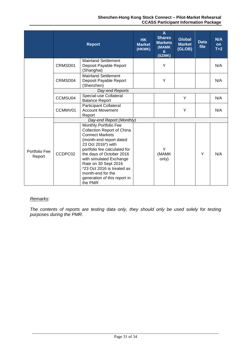|                         | <b>Report</b>   |                                                                                                                                                                                                                                                                                                                                                    | <b>HK</b><br><b>Market</b><br>(HKMK) | A<br><b>Shares</b><br><b>Markets</b><br>(MAMK<br>&<br>(SZMK) | <b>Global</b><br><b>Market</b><br>(GLOB) | <b>Data</b><br>file | N/A<br><b>on</b><br>$T+2$ |
|-------------------------|-----------------|----------------------------------------------------------------------------------------------------------------------------------------------------------------------------------------------------------------------------------------------------------------------------------------------------------------------------------------------------|--------------------------------------|--------------------------------------------------------------|------------------------------------------|---------------------|---------------------------|
|                         | CRMSD01         | <b>Mainland Settlement</b><br>Deposit Payable Report<br>(Shanghai)                                                                                                                                                                                                                                                                                 |                                      | Y                                                            |                                          |                     | N/A                       |
|                         | CRMSD04         | <b>Mainland Settlement</b><br>Deposit Payable Report<br>(Shenzhen)                                                                                                                                                                                                                                                                                 |                                      | Y                                                            |                                          |                     | N/A                       |
|                         | Day-end Reports |                                                                                                                                                                                                                                                                                                                                                    |                                      |                                                              |                                          |                     |                           |
|                         | CCMSU04         | Special-use Collateral<br><b>Balance Report</b>                                                                                                                                                                                                                                                                                                    |                                      |                                                              | Y                                        |                     | N/A                       |
|                         | CCMMV01         | Participant Collateral<br><b>Account Movement</b><br>Report                                                                                                                                                                                                                                                                                        |                                      |                                                              | Y                                        |                     | N/A                       |
|                         |                 | Day-end Report (Monthly)                                                                                                                                                                                                                                                                                                                           |                                      |                                                              |                                          |                     |                           |
| Portfolio Fee<br>Report | CCDPC02         | Monthly Portfolio Fee<br><b>Collection Report of China</b><br><b>Connect Markets</b><br>(month-end report dated<br>23 Oct 2016*) with<br>portfolio fee calculated for<br>the days of October 2016<br>with simulated Exchange<br>Rate on 30 Sept 2016<br>*23 Oct 2016 is treated as<br>month-end for the<br>generation of this report in<br>the PMR |                                      | Y<br>(MAMK<br>only)                                          |                                          | Y                   | N/A                       |

### *Remarks:*

*The contents of reports are testing data only, they should only be used solely for testing purposes during the PMR.*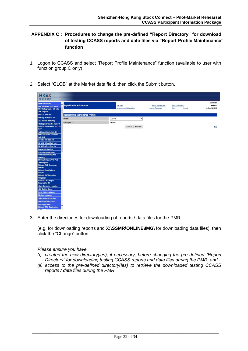# <span id="page-35-0"></span>**APPENDIX C : Procedures to change the pre-defined "Report Directory" for download of testing CCASS reports and date files via "Report Profile Maintenance" function**

- 1. Logon to CCASS and select "Report Profile Maintenance" function (available to user with function group C only)
- 2. Select "GLOB" at the Market data field, then click the Submit button.

| <b>HKEX</b><br>香港交易所                                                                                   |                                          |                                      |                                                    |                                           |                                        |
|--------------------------------------------------------------------------------------------------------|------------------------------------------|--------------------------------------|----------------------------------------------------|-------------------------------------------|----------------------------------------|
| <b>General Enquiries</b><br>Enq Settlement Act / Status<br>Mtn Stk Segregated A/C with<br>Stm Sev(SSA) | <b>Report Profile Maintenance</b>        | Site Map<br>Announcement Information | <b>Broadcast Message</b><br><b>Change Password</b> | <b>Report Download</b><br>Print<br>Logout | C00003ST<br>RPRF 01<br>14-Sep-16 16:59 |
| Mtn SSA Bank A/C                                                                                       | <b>Report Profile Maintenance Prompt</b> |                                      |                                                    |                                           |                                        |
| <b>Delivery Instruction (DI)</b>                                                                       | Market:                                  | $\check{ }$<br>GLOB                  |                                                    |                                           |                                        |
| A/C Transfer Instr (ATI)                                                                               | Participant ID:                          | C00003                               |                                                    |                                           |                                        |
| Stk Seg A/C Transfer Instr(STI)<br><b>Maintain Inter-counter Tri/Conv</b>                              |                                          | Refresh<br>Submit                    |                                                    |                                           |                                        |
| Instr                                                                                                  |                                          |                                      |                                                    |                                           | Help                                   |
| <b>Settlement Instruction (SI)</b>                                                                     |                                          |                                      |                                                    |                                           |                                        |
| <b>Hide Unmatched SI Content</b>                                                                       |                                          |                                      |                                                    |                                           |                                        |
| <b>Cpty List</b><br>Investor Stm Instr (ISI)                                                           |                                          |                                      |                                                    |                                           |                                        |
| ISI (With Affirm) Cpty List                                                                            |                                          |                                      |                                                    |                                           |                                        |
| ISI (W/O Affirm) Cpty List                                                                             |                                          |                                      |                                                    |                                           |                                        |
| <b>Payment Instruction</b>                                                                             |                                          |                                      |                                                    |                                           |                                        |
| <b>Cash Prepayment (HK)</b>                                                                            |                                          |                                      |                                                    |                                           |                                        |
| <b>Cash Prepayment (China</b><br>Connect)                                                              |                                          |                                      |                                                    |                                           |                                        |
| Mtn Cash Pre-pmt/TSF Pmt                                                                               |                                          |                                      |                                                    |                                           |                                        |
| <b>Standing Instr</b>                                                                                  |                                          |                                      |                                                    |                                           |                                        |
| <b>Maintain RMB Conversion</b><br><b>Request</b>                                                       |                                          |                                      |                                                    |                                           |                                        |
| <b>Maintain Stock Release</b>                                                                          |                                          |                                      |                                                    |                                           |                                        |
| <b>Request</b>                                                                                         |                                          |                                      |                                                    |                                           |                                        |
| <b>Maintain TSF Earmarking</b>                                                                         |                                          |                                      |                                                    |                                           |                                        |
| Obligation<br><b>Maintain Cash Prepmt</b>                                                              |                                          |                                      |                                                    |                                           |                                        |
| <b>Received for IPI</b>                                                                                |                                          |                                      |                                                    |                                           |                                        |
| <b>Stock Borrowing / Lending</b>                                                                       |                                          |                                      |                                                    |                                           |                                        |
| <b>SBL Bulletin Board</b>                                                                              |                                          |                                      |                                                    |                                           |                                        |
| Login Withdrawal Order                                                                                 |                                          |                                      |                                                    |                                           |                                        |
| <b>Election Instruction</b>                                                                            |                                          |                                      |                                                    |                                           |                                        |
| <b>Subscription Instruction</b>                                                                        |                                          |                                      |                                                    |                                           |                                        |
| <b>Corp Voting Instruction</b>                                                                         |                                          |                                      |                                                    |                                           |                                        |
| <b>EIPO Application</b><br><b>Maintain EIPO Confirmation</b>                                           |                                          |                                      |                                                    |                                           |                                        |

3. Enter the directories for downloading of reports / data files for the PMR

(e.g. for downloading reports and **X:\SSMR\ONLINE\IMG\** for downloading data files), then click the "Change" button.

*Please ensure you have* 

- *(i) created the new directory(ies), if necessary, before changing the pre-defined "Report Directory" for downloading testing CCASS reports and data files during the PMR; and*
- *(ii) access to the pre-defined directory(ies) to retrieve the downloaded testing CCASS reports / data files during the PMR.*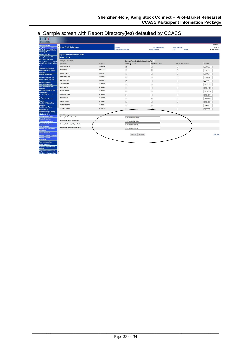# a. Sample screen with Report Directory(ies) defaulted by CCASS

Balance<br>Enquire Collateral Inventory<br>Mtn Currency Exchange Rate

| <b>HKEX</b><br>香港交易所                                                                                          |                                       |           |                                                        |                                                    |                                    |                                        |
|---------------------------------------------------------------------------------------------------------------|---------------------------------------|-----------|--------------------------------------------------------|----------------------------------------------------|------------------------------------|----------------------------------------|
| <b>General Enquiries</b><br><b>Eng Settlement Act / Status</b><br>Mtn Stk Segregated A/C with<br>Stm Sev(SSA) | <b>Report Profile Maintenance</b>     |           | Site Map<br>Announcement Information                   | <b>Broadcast Message</b><br><b>Change Password</b> | Report Download<br>Print<br>Logout | C00003ST<br>RPRF 02<br>14-Sep-16 17:03 |
| Mtn SSA Bank A/C                                                                                              | Report Profile Maintenance Detail     |           |                                                        |                                                    |                                    |                                        |
| Delivery Instruction (DI)                                                                                     | <b>Market: GLOB</b>                   |           |                                                        |                                                    |                                    |                                        |
| AIC Transfer Instr (ATI)                                                                                      | <b>Overnight Report Profile:</b>      |           | <b>Overnight Report Distribution Subscription Flag</b> |                                                    |                                    |                                        |
| Stk Seg A/C Transfer Instr(STI)<br>Maintain Inter-counter Trf/Conv                                            | <b>Report Name</b>                    | Report ID | Data Image To File                                     | <b>Report Text To File</b>                         | <b>Report Text To Printer</b>      | Filename                               |
| <b>Instr</b>                                                                                                  | CORP CMN EVT L                        | CCJCC12   |                                                        |                                                    |                                    |                                        |
| Settlement Instruction (SI)                                                                                   |                                       |           | $\overline{\blacktriangledown}$                        | $\overline{\checkmark}$                            | п                                  | CCJCC12                                |
| <b>Hide Unmatched SI Content</b>                                                                              | <b>RCP MASTER ACT</b>                 | CCJCC13   | E                                                      | $\checkmark$                                       | □                                  | CCJCC13                                |
| <b>Cpty List</b><br>Investor Strn Instr (ISI)                                                                 | EVT RCP LST AC                        | CCJCC14   | 国                                                      | $\overline{\checkmark}$                            | $\Box$                             | CCJCC14                                |
| <b>ISI (With Affirm) Cpty List</b>                                                                            | <b>SSA MASTER LIS</b>                 | CCSSG01   | $\overline{\checkmark}$                                | $\overline{\checkmark}$                            | □                                  | CCSSG01                                |
| <b>ISI (W/O Affirm) Cpty List</b>                                                                             | <b>NEW ISSUE ACTI</b>                 | CEPAA01   | $\overline{\mathsf{v}}$                                |                                                    |                                    |                                        |
| <b>Payment Instruction</b>                                                                                    |                                       |           |                                                        | $\blacktriangledown$                               | $\Box$                             | CEPAA01                                |
| Cash Prepayment (HK)                                                                                          | <b>CASH PREPYMT</b>                   | CSECP03   | Π                                                      | $\overline{\checkmark}$                            | □                                  | CSECP03                                |
| Cash Prepayment (China<br>Connect)                                                                            | <b>DDI/DCI/EPI SU</b>                 | CSEMN28   | 亘                                                      | $\overline{\mathbf{v}}$                            | п                                  | CSEMN28                                |
| Mtn Cash Pre-pmt/TSF Pmt                                                                                      | STM REL EPILS                         | CSEMN29   | $\overline{\mathbf{S}}$                                | $\overline{\checkmark}$                            | п                                  | CSEMN29                                |
| <b>Standing Instr</b><br><b>Maintain RMB Conversion</b>                                                       | <b>MONEY LIG STMT</b>                 | CSEMS08   | $\overline{\mathbf{v}}$                                | $\overline{\mathbf{v}}$                            | $\Box$                             | CSEMS08                                |
| Request                                                                                                       |                                       | CSEMS28   |                                                        |                                                    |                                    |                                        |
| <b>Maintain Stock Release</b>                                                                                 | <b>DDI/DCI/EPI SU</b>                 |           | ▣                                                      | $\blacktriangledown$                               | □                                  | CSEMS28                                |
| <b>Request</b><br><b>Maintain TSF Earmarking</b>                                                              | STM REL EPILS                         | CSEMS29   | $\overline{\mathbf{v}}$                                | $\overline{\checkmark}$                            | п                                  | CSEMS29                                |
| Obligation                                                                                                    | PYMT INSTR ACT                        | CSEPI01   | 圓                                                      | $\overline{\checkmark}$                            | □                                  | CSEPI01                                |
| <b>Maintain Cash Prepmt</b><br><b>Received for IPI</b>                                                        | <b>TSF EXCPTN RPT</b>                 | CSETF13   |                                                        | σ                                                  | $\Box$                             | CSETF13                                |
| <b>Stock Borrowing / Lending</b>                                                                              |                                       |           |                                                        |                                                    |                                    |                                        |
| <b>SBL Bulletin Board</b>                                                                                     | <b>Report Directory:</b>              |           |                                                        |                                                    |                                    |                                        |
| Login Withdrawal Order                                                                                        | Directory for Online Report Text:     |           | C:\C3T\ONLINE\RMF\                                     |                                                    |                                    |                                        |
| <b>Election Instruction</b>                                                                                   |                                       |           |                                                        |                                                    |                                    |                                        |
| <b>Subscription Instruction</b>                                                                               | Directory for Online Data Images :    |           | C:\C3T\ONLINE\IMG\                                     |                                                    |                                    |                                        |
| <b>Corp Voting Instruction</b>                                                                                | Directory for Overnight Report Text:  |           | C:\C3T\ONRD\RMF\                                       |                                                    |                                    |                                        |
| <b>EIPO Application</b><br><b>Maintain EIPO Confirmation</b>                                                  | Directory for Overnight Data Images : |           | C:\C3T\ONRD\IMG\                                       |                                                    |                                    |                                        |
| <b>Application</b>                                                                                            |                                       |           |                                                        |                                                    |                                    |                                        |
| <b>Tender Instruction</b><br><b>Maintain Unit Order - Creation</b>                                            |                                       |           | Refresh<br>Change                                      |                                                    |                                    | <b>Back Help</b>                       |
| <b>Maintain Unit Order -</b>                                                                                  |                                       |           |                                                        |                                                    |                                    |                                        |
| <b>Redemption</b>                                                                                             |                                       |           |                                                        |                                                    |                                    |                                        |
| <b>Corp Communication</b>                                                                                     |                                       |           |                                                        |                                                    |                                    |                                        |
| <b>Upload Batch File</b>                                                                                      |                                       |           |                                                        |                                                    |                                    |                                        |